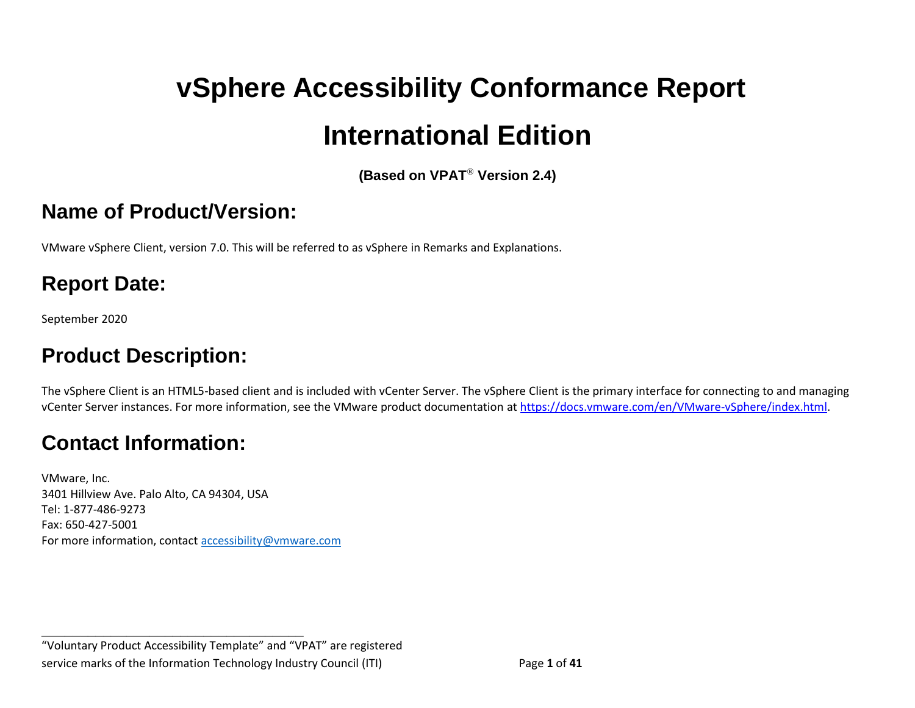# **vSphere Accessibility Conformance Report International Edition**

**(Based on VPAT**® **Version 2.4)**

#### <span id="page-0-0"></span>**Name of Product/Version:**

VMware vSphere Client, version 7.0. This will be referred to as vSphere in Remarks and Explanations.

## **Report Date:**

September 2020

## **Product Description:**

The vSphere Client is an HTML5-based client and is included with vCenter Server. The vSphere Client is the primary interface for connecting to and managing vCenter Server instances. For more information, see the VMware product documentation at [https://docs.vmware.com/en/VMware-vSphere/index.html.](https://docs.vmware.com/en/VMware-vSphere/index.html)

## **Contact Information:**

VMware, Inc. 3401 Hillview Ave. Palo Alto, CA 94304, USA Tel: 1-877-486-9273 Fax: 650-427-5001 For more information, contact [accessibility@vmware.com](mailto:accessibility@vmware.com)

**\_\_\_\_\_\_\_\_\_\_\_\_\_\_\_\_\_\_\_\_\_\_\_\_\_\_\_\_\_\_\_\_\_\_**

"Voluntary Product Accessibility Template" and "VPAT" are registered service marks of the Information Technology Industry Council (ITI) Page **1** of **41**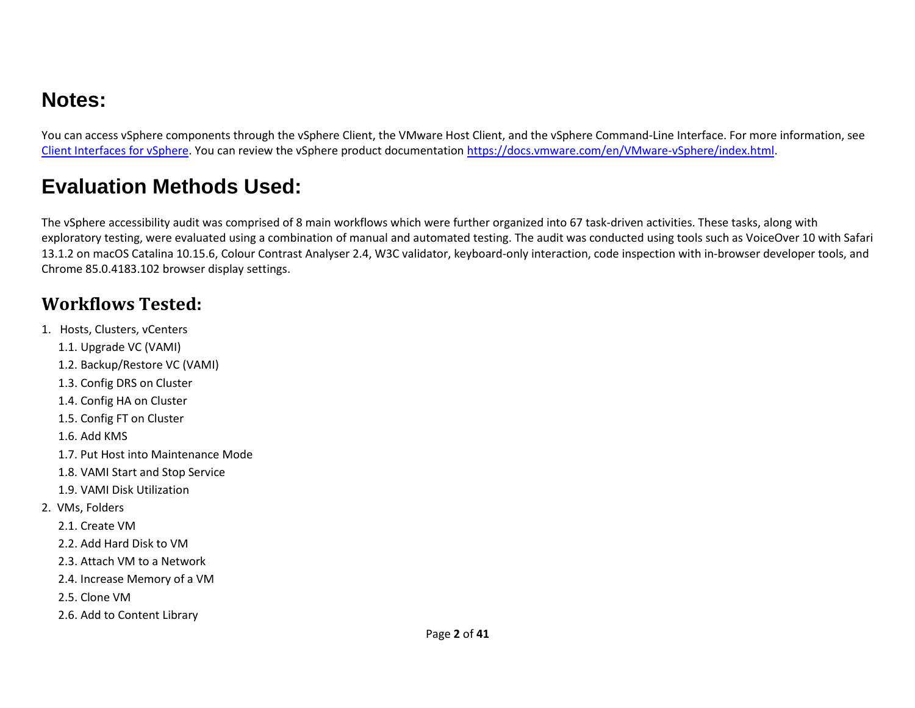## **Notes:**

You can access vSphere components through the vSphere Client, the VMware Host Client, and the vSphere Command-Line Interface. For more information, see [Client Interfaces for vSphere.](https://docs.vmware.com/en/VMware-vSphere/6.7/com.vmware.vsphere.vcenterhost.doc/GUID-6710A6C4-00AE-4930-BBD6-BDEF78029994.html) You can review the vSphere product documentation [https://docs.vmware.com/en/VMware-vSphere/index.html.](https://docs.vmware.com/en/VMware-vSphere/index.html)

## **Evaluation Methods Used:**

The vSphere accessibility audit was comprised of 8 main workflows which were further organized into 67 task-driven activities. These tasks, along with exploratory testing, were evaluated using a combination of manual and automated testing. The audit was conducted using tools such as VoiceOver 10 with Safari 13.1.2 on macOS Catalina 10.15.6, Colour Contrast Analyser 2.4, W3C validator, keyboard-only interaction, code inspection with in-browser developer tools, and Chrome 85.0.4183.102 browser display settings.

#### **Workflows Tested:**

- 1. Hosts, Clusters, vCenters
	- 1.1. Upgrade VC (VAMI)
	- 1.2. Backup/Restore VC (VAMI)
	- 1.3. Config DRS on Cluster
	- 1.4. Config HA on Cluster
	- 1.5. Config FT on Cluster
	- 1.6. Add KMS
	- 1.7. Put Host into Maintenance Mode
	- 1.8. VAMI Start and Stop Service
	- 1.9. VAMI Disk Utilization
- 2. VMs, Folders
	- 2.1. Create VM
	- 2.2. Add Hard Disk to VM
	- 2.3. Attach VM to a Network
	- 2.4. Increase Memory of a VM
	- 2.5. Clone VM
	- 2.6. Add to Content Library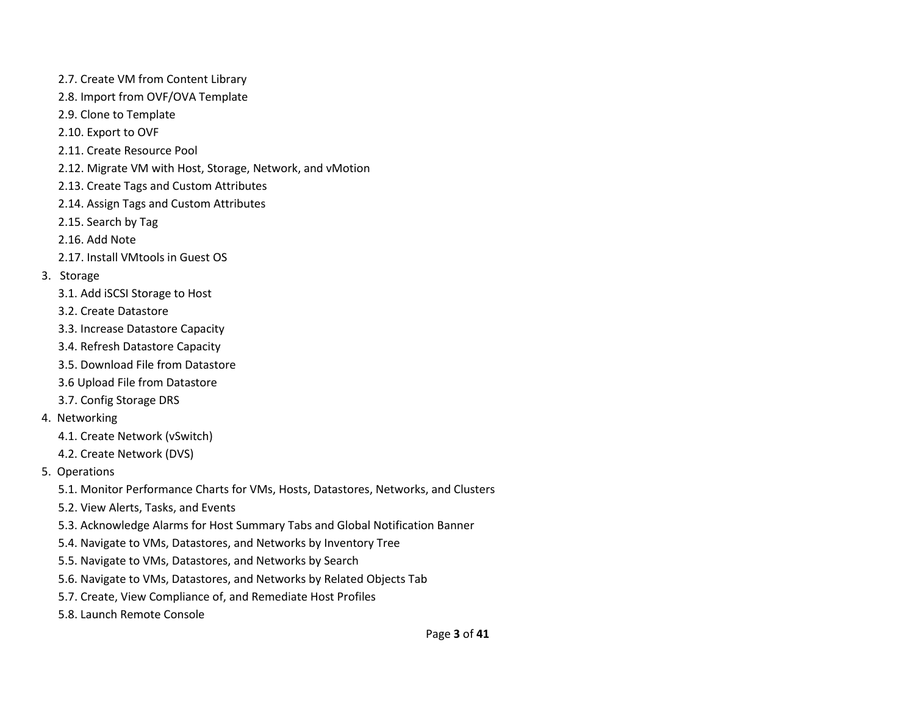- 2.7. Create VM from Content Library
- 2.8. Import from OVF/OVA Template
- 2.9. Clone to Template
- 2.10. Export to OVF
- 2.11. Create Resource Pool
- 2.12. Migrate VM with Host, Storage, Network, and vMotion
- 2.13. Create Tags and Custom Attributes
- 2.14. Assign Tags and Custom Attributes
- 2.15. Search by Tag
- 2.16. Add Note
- 2.17. Install VMtools in Guest OS
- 3. Storage
	- 3.1. Add iSCSI Storage to Host
	- 3.2. Create Datastore
	- 3.3. Increase Datastore Capacity
	- 3.4. Refresh Datastore Capacity
	- 3.5. Download File from Datastore
	- 3.6 Upload File from Datastore
	- 3.7. Config Storage DRS
- 4. Networking
	- 4.1. Create Network (vSwitch)
	- 4.2. Create Network (DVS)
- 5. Operations
	- 5.1. Monitor Performance Charts for VMs, Hosts, Datastores, Networks, and Clusters
	- 5.2. View Alerts, Tasks, and Events
	- 5.3. Acknowledge Alarms for Host Summary Tabs and Global Notification Banner
	- 5.4. Navigate to VMs, Datastores, and Networks by Inventory Tree
	- 5.5. Navigate to VMs, Datastores, and Networks by Search
	- 5.6. Navigate to VMs, Datastores, and Networks by Related Objects Tab
	- 5.7. Create, View Compliance of, and Remediate Host Profiles
	- 5.8. Launch Remote Console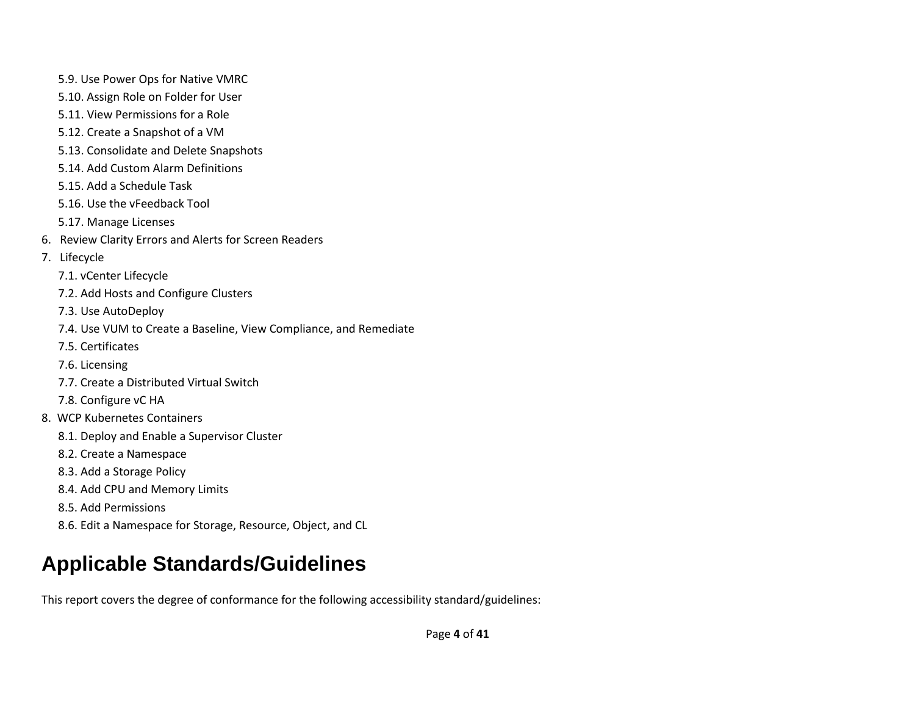- 5.9. Use Power Ops for Native VMRC
- 5.10. Assign Role on Folder for User
- 5.11. View Permissions for a Role
- 5.12. Create a Snapshot of a VM
- 5.13. Consolidate and Delete Snapshots
- 5.14. Add Custom Alarm Definitions
- 5.15. Add a Schedule Task
- 5.16. Use the vFeedback Tool
- 5.17. Manage Licenses
- 6. Review Clarity Errors and Alerts for Screen Readers
- 7. Lifecycle
	- 7.1. vCenter Lifecycle
	- 7.2. Add Hosts and Configure Clusters
	- 7.3. Use AutoDeploy
	- 7.4. Use VUM to Create a Baseline, View Compliance, and Remediate
	- 7.5. Certificates
	- 7.6. Licensing
	- 7.7. Create a Distributed Virtual Switch
	- 7.8. Configure vC HA
- 8. WCP Kubernetes Containers
	- 8.1. Deploy and Enable a Supervisor Cluster
	- 8.2. Create a Namespace
	- 8.3. Add a Storage Policy
	- 8.4. Add CPU and Memory Limits
	- 8.5. Add Permissions
	- 8.6. Edit a Namespace for Storage, Resource, Object, and CL

## **Applicable Standards/Guidelines**

This report covers the degree of conformance for the following accessibility standard/guidelines: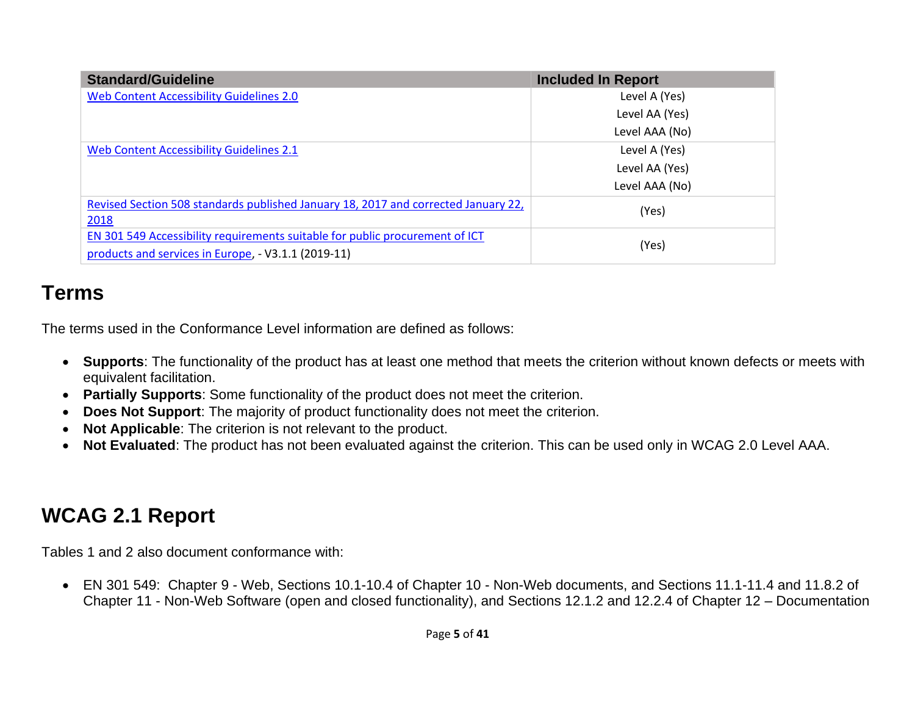| <b>Standard/Guideline</b>                                                                                                           | <b>Included In Report</b> |
|-------------------------------------------------------------------------------------------------------------------------------------|---------------------------|
| Web Content Accessibility Guidelines 2.0                                                                                            | Level A (Yes)             |
|                                                                                                                                     | Level AA (Yes)            |
|                                                                                                                                     | Level AAA (No)            |
| Web Content Accessibility Guidelines 2.1                                                                                            | Level A (Yes)             |
|                                                                                                                                     | Level AA (Yes)            |
|                                                                                                                                     | Level AAA (No)            |
| Revised Section 508 standards published January 18, 2017 and corrected January 22,<br>2018                                          | (Yes)                     |
| EN 301 549 Accessibility requirements suitable for public procurement of ICT<br>products and services in Europe, - V3.1.1 (2019-11) | (Yes)                     |

#### **Terms**

The terms used in the Conformance Level information are defined as follows:

- **Supports**: The functionality of the product has at least one method that meets the criterion without known defects or meets with equivalent facilitation.
- **Partially Supports**: Some functionality of the product does not meet the criterion.
- **Does Not Support**: The majority of product functionality does not meet the criterion.
- **Not Applicable**: The criterion is not relevant to the product.
- **Not Evaluated**: The product has not been evaluated against the criterion. This can be used only in WCAG 2.0 Level AAA.

## <span id="page-4-0"></span>**WCAG 2.1 Report**

Tables 1 and 2 also document conformance with:

• EN 301 549: Chapter 9 - Web, Sections 10.1-10.4 of Chapter 10 - Non-Web documents, and Sections 11.1-11.4 and 11.8.2 of Chapter 11 - Non-Web Software (open and closed functionality), and Sections 12.1.2 and 12.2.4 of Chapter 12 – Documentation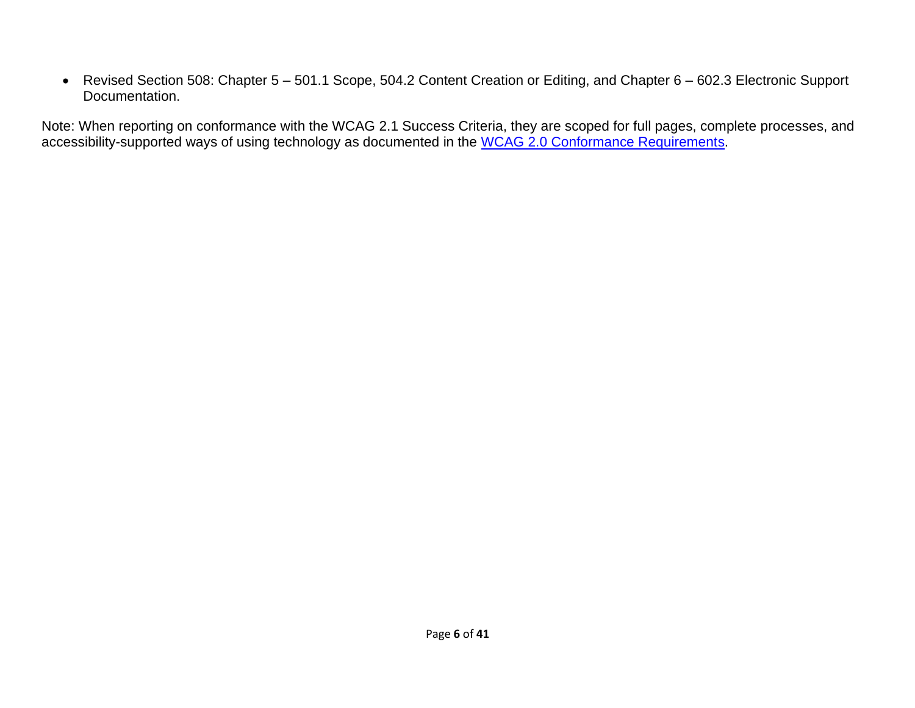• Revised Section 508: Chapter 5 – 501.1 Scope, 504.2 Content Creation or Editing, and Chapter 6 – 602.3 Electronic Support Documentation.

Note: When reporting on conformance with the WCAG 2.1 Success Criteria, they are scoped for full pages, complete processes, and accessibility-supported ways of using technology as documented in the [WCAG 2.0 Conformance Requirements.](https://www.w3.org/TR/WCAG20/#conformance-reqs)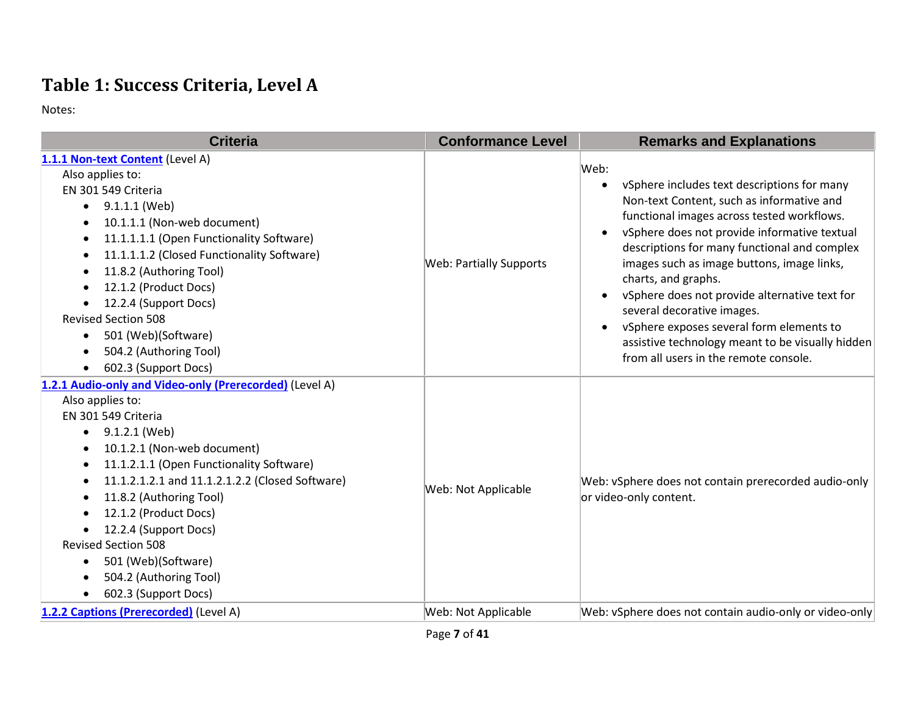## **Table 1: Success Criteria, Level A**

Notes:

| <b>Criteria</b>                                                                                                                                                                                                                                                                                                                                                                                                                                         | <b>Conformance Level</b>       | <b>Remarks and Explanations</b>                                                                                                                                                                                                                                                                                                                                                                                                                                                                                                                                                                 |
|---------------------------------------------------------------------------------------------------------------------------------------------------------------------------------------------------------------------------------------------------------------------------------------------------------------------------------------------------------------------------------------------------------------------------------------------------------|--------------------------------|-------------------------------------------------------------------------------------------------------------------------------------------------------------------------------------------------------------------------------------------------------------------------------------------------------------------------------------------------------------------------------------------------------------------------------------------------------------------------------------------------------------------------------------------------------------------------------------------------|
| 1.1.1 Non-text Content (Level A)<br>Also applies to:<br>EN 301 549 Criteria<br>9.1.1.1 (Web)<br>$\bullet$<br>10.1.1.1 (Non-web document)<br>11.1.1.1.1 (Open Functionality Software)<br>٠<br>11.1.1.1.2 (Closed Functionality Software)<br>11.8.2 (Authoring Tool)<br>12.1.2 (Product Docs)<br>12.2.4 (Support Docs)<br><b>Revised Section 508</b><br>501 (Web)(Software)<br>$\bullet$<br>504.2 (Authoring Tool)<br>602.3 (Support Docs)                | <b>Web: Partially Supports</b> | Web:<br>vSphere includes text descriptions for many<br>$\bullet$<br>Non-text Content, such as informative and<br>functional images across tested workflows.<br>vSphere does not provide informative textual<br>$\bullet$<br>descriptions for many functional and complex<br>images such as image buttons, image links,<br>charts, and graphs.<br>vSphere does not provide alternative text for<br>$\bullet$<br>several decorative images.<br>vSphere exposes several form elements to<br>$\bullet$<br>assistive technology meant to be visually hidden<br>from all users in the remote console. |
| 1.2.1 Audio-only and Video-only (Prerecorded) (Level A)<br>Also applies to:<br>EN 301 549 Criteria<br>9.1.2.1 (Web)<br>٠<br>10.1.2.1 (Non-web document)<br>11.1.2.1.1 (Open Functionality Software)<br>11.1.2.1.2.1 and 11.1.2.1.2.2 (Closed Software)<br>11.8.2 (Authoring Tool)<br>12.1.2 (Product Docs)<br>12.2.4 (Support Docs)<br><b>Revised Section 508</b><br>501 (Web)(Software)<br>$\bullet$<br>504.2 (Authoring Tool)<br>602.3 (Support Docs) | Web: Not Applicable            | Web: vSphere does not contain prerecorded audio-only<br>or video-only content.                                                                                                                                                                                                                                                                                                                                                                                                                                                                                                                  |
| 1.2.2 Captions (Prerecorded) (Level A)                                                                                                                                                                                                                                                                                                                                                                                                                  | Web: Not Applicable            | Web: vSphere does not contain audio-only or video-only                                                                                                                                                                                                                                                                                                                                                                                                                                                                                                                                          |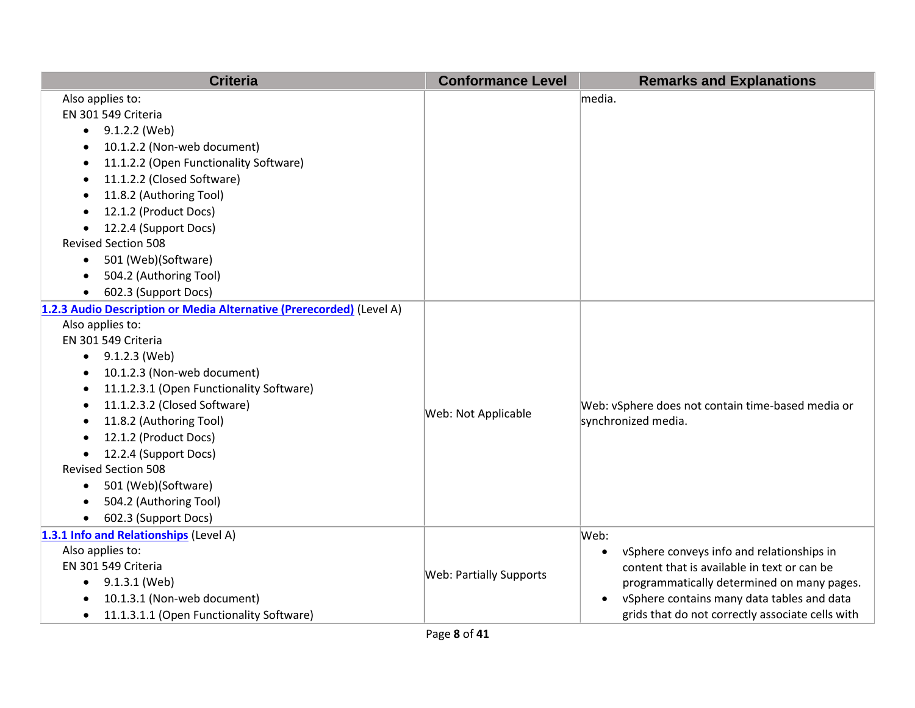| <b>Criteria</b>                                                                                                                                                                                                                                                                                                                                                                                                                                                                               | <b>Conformance Level</b>       | <b>Remarks and Explanations</b>                                                                                                                                                                                                                                            |
|-----------------------------------------------------------------------------------------------------------------------------------------------------------------------------------------------------------------------------------------------------------------------------------------------------------------------------------------------------------------------------------------------------------------------------------------------------------------------------------------------|--------------------------------|----------------------------------------------------------------------------------------------------------------------------------------------------------------------------------------------------------------------------------------------------------------------------|
| Also applies to:<br>EN 301 549 Criteria<br>9.1.2.2 (Web)<br>$\bullet$<br>10.1.2.2 (Non-web document)<br>11.1.2.2 (Open Functionality Software)<br>$\bullet$<br>11.1.2.2 (Closed Software)<br>11.8.2 (Authoring Tool)<br>12.1.2 (Product Docs)<br>12.2.4 (Support Docs)<br><b>Revised Section 508</b><br>501 (Web)(Software)<br>$\bullet$                                                                                                                                                      |                                | media.                                                                                                                                                                                                                                                                     |
| 504.2 (Authoring Tool)<br>$\bullet$<br>602.3 (Support Docs)<br>$\bullet$                                                                                                                                                                                                                                                                                                                                                                                                                      |                                |                                                                                                                                                                                                                                                                            |
| 1.2.3 Audio Description or Media Alternative (Prerecorded) (Level A)<br>Also applies to:<br>EN 301 549 Criteria<br>$\bullet$ 9.1.2.3 (Web)<br>10.1.2.3 (Non-web document)<br>$\bullet$<br>11.1.2.3.1 (Open Functionality Software)<br>11.1.2.3.2 (Closed Software)<br>11.8.2 (Authoring Tool)<br>12.1.2 (Product Docs)<br>12.2.4 (Support Docs)<br>$\bullet$<br><b>Revised Section 508</b><br>501 (Web)(Software)<br>$\bullet$<br>504.2 (Authoring Tool)<br>602.3 (Support Docs)<br>$\bullet$ | Web: Not Applicable            | Web: vSphere does not contain time-based media or<br>synchronized media.                                                                                                                                                                                                   |
| 1.3.1 Info and Relationships (Level A)<br>Also applies to:<br>EN 301 549 Criteria<br>9.1.3.1 (Web)<br>10.1.3.1 (Non-web document)<br>11.1.3.1.1 (Open Functionality Software)<br>$\bullet$                                                                                                                                                                                                                                                                                                    | <b>Web: Partially Supports</b> | Web:<br>vSphere conveys info and relationships in<br>$\bullet$<br>content that is available in text or can be<br>programmatically determined on many pages.<br>vSphere contains many data tables and data<br>$\bullet$<br>grids that do not correctly associate cells with |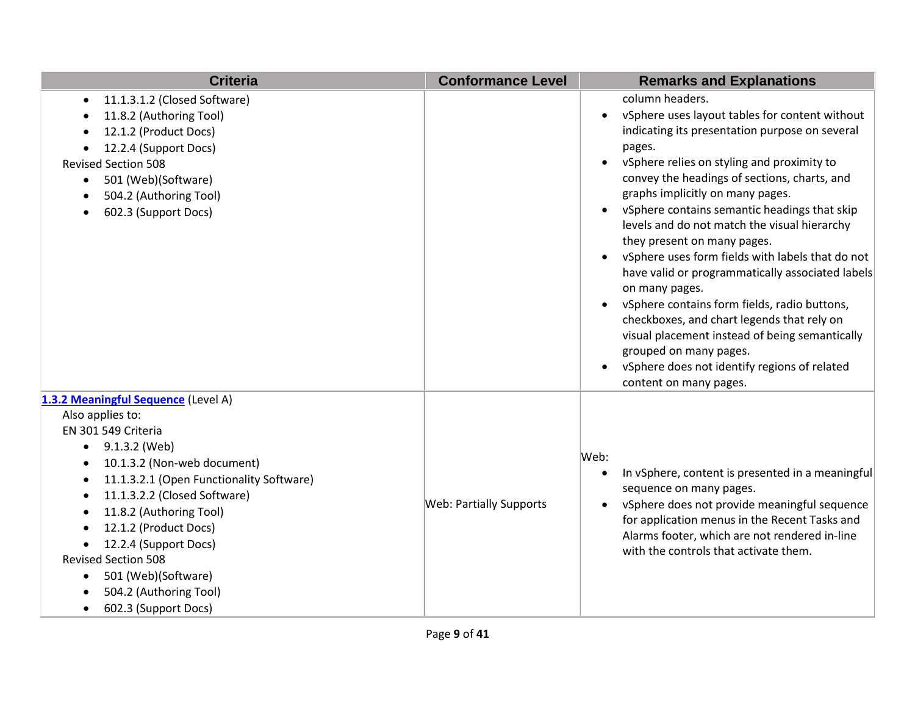| <b>Criteria</b>                                                                                                                                                                                                                                                                                                                                                                                             | <b>Conformance Level</b>       | <b>Remarks and Explanations</b>                                                                                                                                                                                                                                                                                                                                                                                                                                                                                                                                                                                                                                                                                                                                                                                                                            |
|-------------------------------------------------------------------------------------------------------------------------------------------------------------------------------------------------------------------------------------------------------------------------------------------------------------------------------------------------------------------------------------------------------------|--------------------------------|------------------------------------------------------------------------------------------------------------------------------------------------------------------------------------------------------------------------------------------------------------------------------------------------------------------------------------------------------------------------------------------------------------------------------------------------------------------------------------------------------------------------------------------------------------------------------------------------------------------------------------------------------------------------------------------------------------------------------------------------------------------------------------------------------------------------------------------------------------|
| 11.1.3.1.2 (Closed Software)<br>$\bullet$<br>11.8.2 (Authoring Tool)<br>12.1.2 (Product Docs)<br>12.2.4 (Support Docs)<br><b>Revised Section 508</b><br>501 (Web)(Software)<br>$\bullet$<br>504.2 (Authoring Tool)<br>602.3 (Support Docs)                                                                                                                                                                  |                                | column headers.<br>vSphere uses layout tables for content without<br>$\bullet$<br>indicating its presentation purpose on several<br>pages.<br>vSphere relies on styling and proximity to<br>$\bullet$<br>convey the headings of sections, charts, and<br>graphs implicitly on many pages.<br>vSphere contains semantic headings that skip<br>$\bullet$<br>levels and do not match the visual hierarchy<br>they present on many pages.<br>vSphere uses form fields with labels that do not<br>$\bullet$<br>have valid or programmatically associated labels<br>on many pages.<br>vSphere contains form fields, radio buttons,<br>$\bullet$<br>checkboxes, and chart legends that rely on<br>visual placement instead of being semantically<br>grouped on many pages.<br>vSphere does not identify regions of related<br>$\bullet$<br>content on many pages. |
| 1.3.2 Meaningful Sequence (Level A)<br>Also applies to:<br>EN 301 549 Criteria<br>9.1.3.2 (Web)<br>$\bullet$<br>10.1.3.2 (Non-web document)<br>11.1.3.2.1 (Open Functionality Software)<br>11.1.3.2.2 (Closed Software)<br>11.8.2 (Authoring Tool)<br>12.1.2 (Product Docs)<br>12.2.4 (Support Docs)<br><b>Revised Section 508</b><br>501 (Web)(Software)<br>504.2 (Authoring Tool)<br>602.3 (Support Docs) | <b>Web: Partially Supports</b> | Web:<br>In vSphere, content is presented in a meaningful<br>$\bullet$<br>sequence on many pages.<br>vSphere does not provide meaningful sequence<br>$\bullet$<br>for application menus in the Recent Tasks and<br>Alarms footer, which are not rendered in-line<br>with the controls that activate them.                                                                                                                                                                                                                                                                                                                                                                                                                                                                                                                                                   |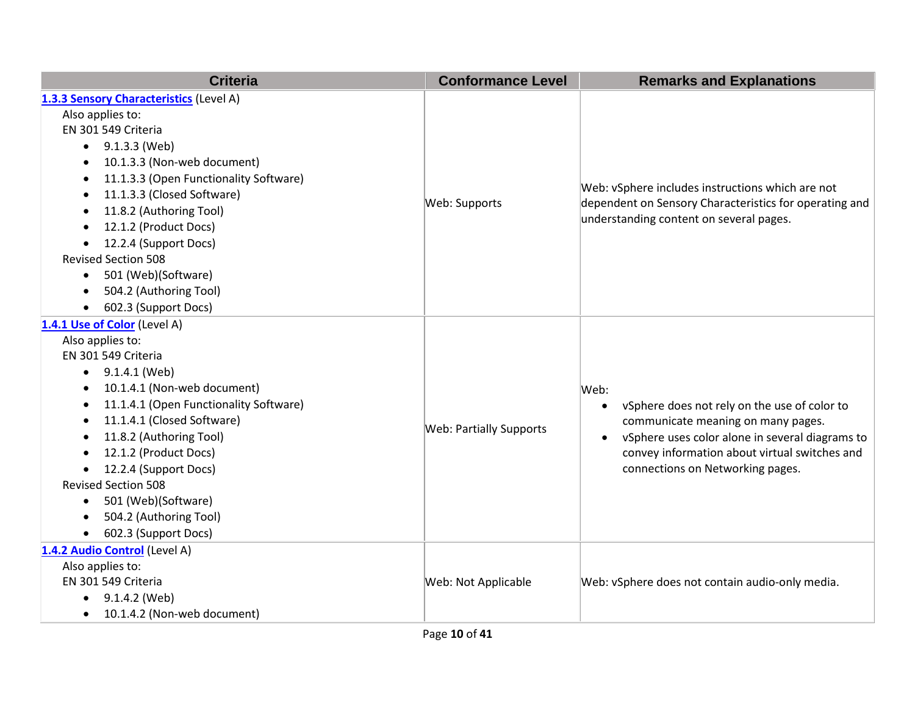| <b>Criteria</b>                                     | <b>Conformance Level</b>       | <b>Remarks and Explanations</b>                                                                            |
|-----------------------------------------------------|--------------------------------|------------------------------------------------------------------------------------------------------------|
| 1.3.3 Sensory Characteristics (Level A)             |                                |                                                                                                            |
| Also applies to:                                    |                                |                                                                                                            |
| EN 301 549 Criteria                                 |                                |                                                                                                            |
| 9.1.3.3 (Web)<br>$\bullet$                          |                                |                                                                                                            |
| 10.1.3.3 (Non-web document)<br>$\bullet$            |                                |                                                                                                            |
| 11.1.3.3 (Open Functionality Software)<br>$\bullet$ |                                |                                                                                                            |
| 11.1.3.3 (Closed Software)<br>$\bullet$             | Web: Supports                  | Web: vSphere includes instructions which are not<br>dependent on Sensory Characteristics for operating and |
| 11.8.2 (Authoring Tool)<br>$\bullet$                |                                | understanding content on several pages.                                                                    |
| 12.1.2 (Product Docs)                               |                                |                                                                                                            |
| 12.2.4 (Support Docs)<br>$\bullet$                  |                                |                                                                                                            |
| <b>Revised Section 508</b>                          |                                |                                                                                                            |
| 501 (Web)(Software)<br>$\bullet$                    |                                |                                                                                                            |
| 504.2 (Authoring Tool)<br>$\bullet$                 |                                |                                                                                                            |
| 602.3 (Support Docs)<br>$\bullet$                   |                                |                                                                                                            |
| 1.4.1 Use of Color (Level A)                        |                                |                                                                                                            |
| Also applies to:                                    |                                |                                                                                                            |
| EN 301 549 Criteria                                 |                                |                                                                                                            |
| $\bullet$ 9.1.4.1 (Web)                             |                                |                                                                                                            |
| 10.1.4.1 (Non-web document)<br>$\bullet$            |                                | Web:                                                                                                       |
| 11.1.4.1 (Open Functionality Software)<br>$\bullet$ |                                | vSphere does not rely on the use of color to<br>$\bullet$                                                  |
| 11.1.4.1 (Closed Software)<br>$\bullet$             | <b>Web: Partially Supports</b> | communicate meaning on many pages.                                                                         |
| 11.8.2 (Authoring Tool)<br>$\bullet$                |                                | vSphere uses color alone in several diagrams to<br>$\bullet$                                               |
| 12.1.2 (Product Docs)                               |                                | convey information about virtual switches and                                                              |
| 12.2.4 (Support Docs)                               |                                | connections on Networking pages.                                                                           |
| <b>Revised Section 508</b>                          |                                |                                                                                                            |
| 501 (Web)(Software)<br>$\bullet$                    |                                |                                                                                                            |
| 504.2 (Authoring Tool)<br>$\bullet$                 |                                |                                                                                                            |
| 602.3 (Support Docs)<br>$\bullet$                   |                                |                                                                                                            |
| 1.4.2 Audio Control (Level A)                       |                                |                                                                                                            |
| Also applies to:                                    |                                |                                                                                                            |
| EN 301 549 Criteria                                 | Web: Not Applicable            | Web: vSphere does not contain audio-only media.                                                            |
| 9.1.4.2 (Web)<br>$\bullet$                          |                                |                                                                                                            |
| 10.1.4.2 (Non-web document)<br>$\bullet$            |                                |                                                                                                            |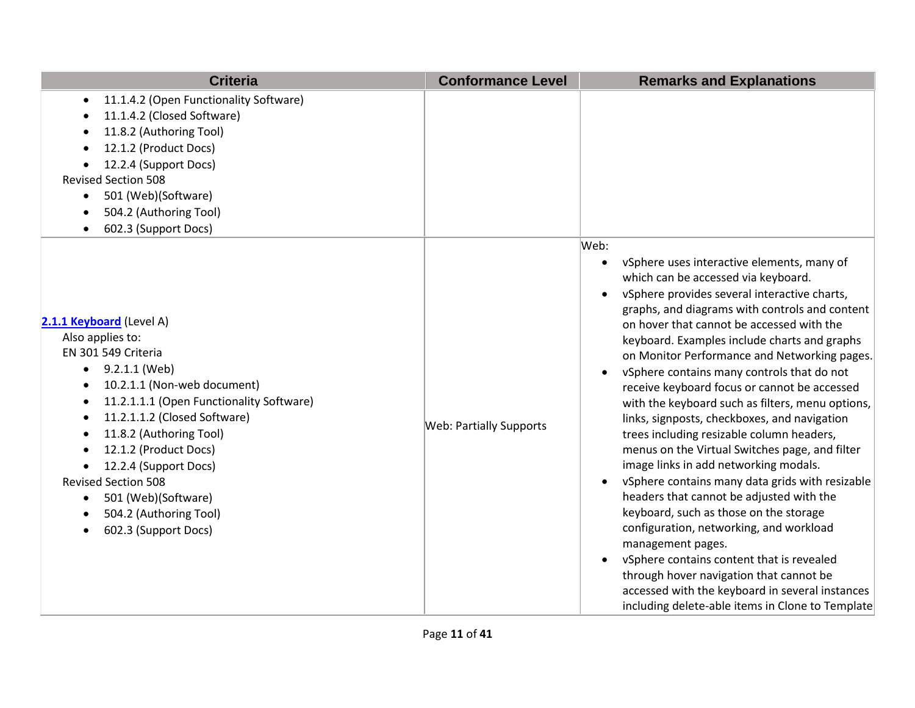| <b>Criteria</b>                                                                                                                                                                                                                                                                                                                                                                                                                                                                                          | <b>Conformance Level</b>       | <b>Remarks and Explanations</b>                                                                                                                                                                                                                                                                                                                                                                                                                                                                                                                                                                                                                                                                                                                                                                                                                                                                                                                                                                                                                                                                                                                |
|----------------------------------------------------------------------------------------------------------------------------------------------------------------------------------------------------------------------------------------------------------------------------------------------------------------------------------------------------------------------------------------------------------------------------------------------------------------------------------------------------------|--------------------------------|------------------------------------------------------------------------------------------------------------------------------------------------------------------------------------------------------------------------------------------------------------------------------------------------------------------------------------------------------------------------------------------------------------------------------------------------------------------------------------------------------------------------------------------------------------------------------------------------------------------------------------------------------------------------------------------------------------------------------------------------------------------------------------------------------------------------------------------------------------------------------------------------------------------------------------------------------------------------------------------------------------------------------------------------------------------------------------------------------------------------------------------------|
| 11.1.4.2 (Open Functionality Software)<br>$\bullet$<br>11.1.4.2 (Closed Software)<br>11.8.2 (Authoring Tool)<br>12.1.2 (Product Docs)<br>12.2.4 (Support Docs)<br><b>Revised Section 508</b><br>501 (Web)(Software)<br>$\bullet$<br>504.2 (Authoring Tool)<br>$\bullet$<br>602.3 (Support Docs)<br>$\bullet$                                                                                                                                                                                             |                                |                                                                                                                                                                                                                                                                                                                                                                                                                                                                                                                                                                                                                                                                                                                                                                                                                                                                                                                                                                                                                                                                                                                                                |
| 2.1.1 Keyboard (Level A)<br>Also applies to:<br>EN 301 549 Criteria<br>9.2.1.1 (Web)<br>$\bullet$<br>10.2.1.1 (Non-web document)<br>$\bullet$<br>11.2.1.1.1 (Open Functionality Software)<br>$\bullet$<br>11.2.1.1.2 (Closed Software)<br>$\bullet$<br>11.8.2 (Authoring Tool)<br>$\bullet$<br>12.1.2 (Product Docs)<br>12.2.4 (Support Docs)<br>$\bullet$<br><b>Revised Section 508</b><br>501 (Web)(Software)<br>$\bullet$<br>504.2 (Authoring Tool)<br>$\bullet$<br>602.3 (Support Docs)<br>$\bullet$ | <b>Web: Partially Supports</b> | Web:<br>vSphere uses interactive elements, many of<br>which can be accessed via keyboard.<br>vSphere provides several interactive charts,<br>$\bullet$<br>graphs, and diagrams with controls and content<br>on hover that cannot be accessed with the<br>keyboard. Examples include charts and graphs<br>on Monitor Performance and Networking pages.<br>vSphere contains many controls that do not<br>$\bullet$<br>receive keyboard focus or cannot be accessed<br>with the keyboard such as filters, menu options,<br>links, signposts, checkboxes, and navigation<br>trees including resizable column headers,<br>menus on the Virtual Switches page, and filter<br>image links in add networking modals.<br>vSphere contains many data grids with resizable<br>$\bullet$<br>headers that cannot be adjusted with the<br>keyboard, such as those on the storage<br>configuration, networking, and workload<br>management pages.<br>vSphere contains content that is revealed<br>$\bullet$<br>through hover navigation that cannot be<br>accessed with the keyboard in several instances<br>including delete-able items in Clone to Template |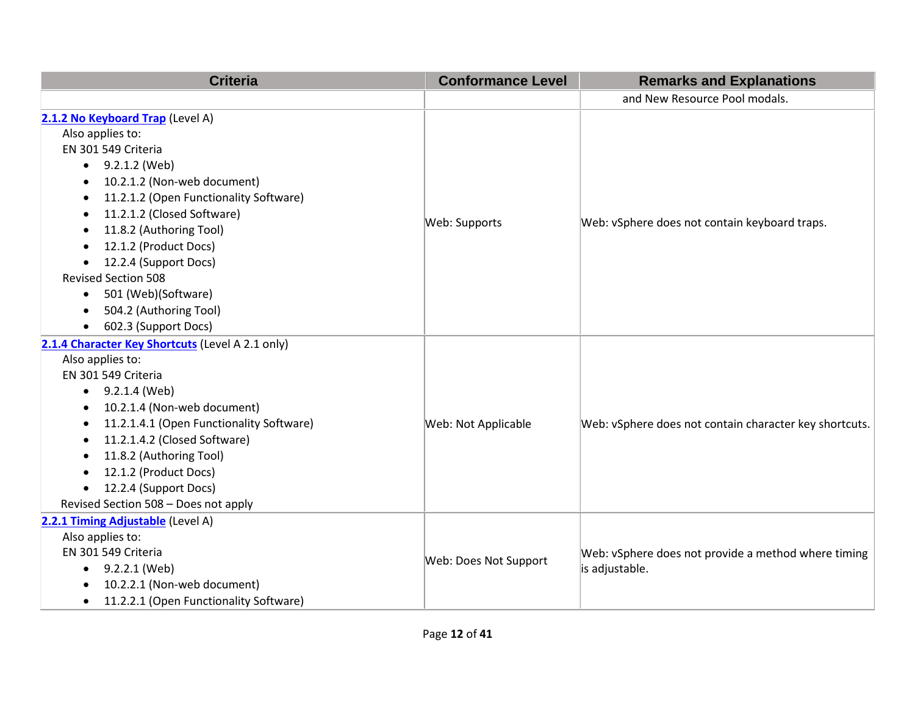| <b>Criteria</b>                                                                                                                                                                                                                                                                                                                                                                                                                                 | <b>Conformance Level</b> | <b>Remarks and Explanations</b>                                       |
|-------------------------------------------------------------------------------------------------------------------------------------------------------------------------------------------------------------------------------------------------------------------------------------------------------------------------------------------------------------------------------------------------------------------------------------------------|--------------------------|-----------------------------------------------------------------------|
|                                                                                                                                                                                                                                                                                                                                                                                                                                                 |                          | and New Resource Pool modals.                                         |
| 2.1.2 No Keyboard Trap (Level A)<br>Also applies to:<br>EN 301 549 Criteria<br>$\bullet$ 9.2.1.2 (Web)<br>10.2.1.2 (Non-web document)<br>$\bullet$<br>11.2.1.2 (Open Functionality Software)<br>$\bullet$<br>11.2.1.2 (Closed Software)<br>٠<br>11.8.2 (Authoring Tool)<br>12.1.2 (Product Docs)<br>$\bullet$<br>12.2.4 (Support Docs)<br>$\bullet$<br><b>Revised Section 508</b><br>501 (Web)(Software)<br>$\bullet$<br>504.2 (Authoring Tool) | Web: Supports            | Web: vSphere does not contain keyboard traps.                         |
| 602.3 (Support Docs)<br>$\bullet$<br>2.1.4 Character Key Shortcuts (Level A 2.1 only)<br>Also applies to:<br>EN 301 549 Criteria<br>$\bullet$ 9.2.1.4 (Web)<br>10.2.1.4 (Non-web document)<br>11.2.1.4.1 (Open Functionality Software)<br>11.2.1.4.2 (Closed Software)<br>$\bullet$<br>11.8.2 (Authoring Tool)<br>12.1.2 (Product Docs)<br>$\bullet$<br>12.2.4 (Support Docs)<br>$\bullet$<br>Revised Section 508 - Does not apply              | Web: Not Applicable      | Web: vSphere does not contain character key shortcuts.                |
| 2.2.1 Timing Adjustable (Level A)<br>Also applies to:<br>EN 301 549 Criteria<br>$\bullet$ 9.2.2.1 (Web)<br>10.2.2.1 (Non-web document)<br>$\bullet$<br>11.2.2.1 (Open Functionality Software)<br>$\bullet$                                                                                                                                                                                                                                      | Web: Does Not Support    | Web: vSphere does not provide a method where timing<br>is adjustable. |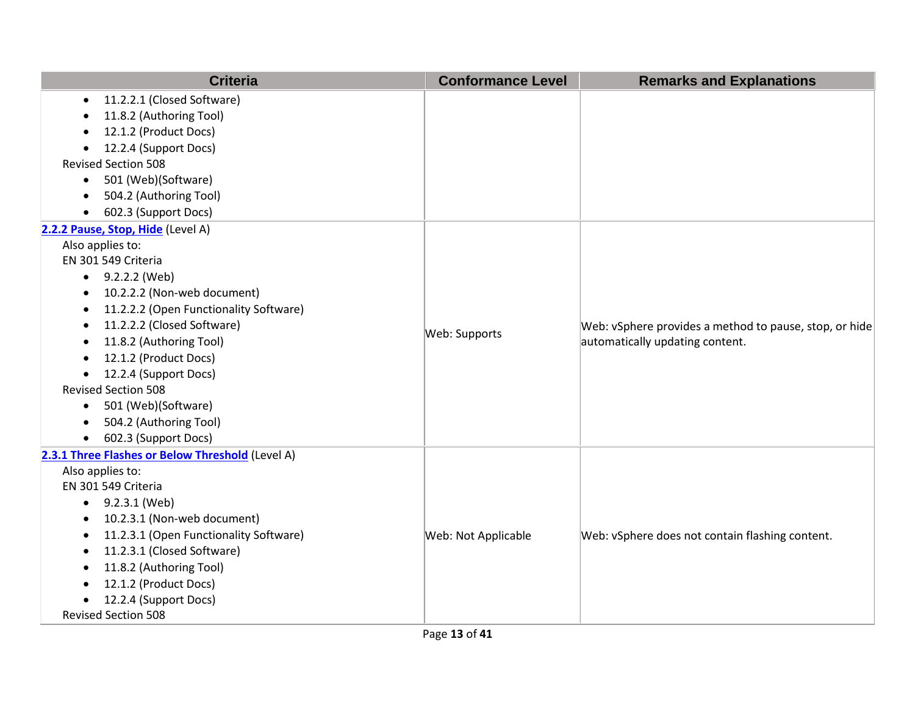| <b>Criteria</b>                                     | <b>Conformance Level</b> | <b>Remarks and Explanations</b>                        |
|-----------------------------------------------------|--------------------------|--------------------------------------------------------|
| 11.2.2.1 (Closed Software)<br>$\bullet$             |                          |                                                        |
| 11.8.2 (Authoring Tool)                             |                          |                                                        |
| 12.1.2 (Product Docs)                               |                          |                                                        |
| 12.2.4 (Support Docs)<br>$\bullet$                  |                          |                                                        |
| <b>Revised Section 508</b>                          |                          |                                                        |
| 501 (Web)(Software)<br>$\bullet$                    |                          |                                                        |
| 504.2 (Authoring Tool)                              |                          |                                                        |
| 602.3 (Support Docs)<br>$\bullet$                   |                          |                                                        |
| 2.2.2 Pause, Stop, Hide (Level A)                   |                          |                                                        |
| Also applies to:                                    |                          |                                                        |
| EN 301 549 Criteria                                 |                          |                                                        |
| 9.2.2.2 (Web)<br>$\bullet$                          |                          |                                                        |
| 10.2.2.2 (Non-web document)                         |                          | Web: vSphere provides a method to pause, stop, or hide |
| 11.2.2.2 (Open Functionality Software)              |                          |                                                        |
| 11.2.2.2 (Closed Software)<br>٠                     | Web: Supports            |                                                        |
| 11.8.2 (Authoring Tool)<br>$\bullet$                |                          | automatically updating content.                        |
| 12.1.2 (Product Docs)                               |                          |                                                        |
| 12.2.4 (Support Docs)                               |                          |                                                        |
| <b>Revised Section 508</b>                          |                          |                                                        |
| 501 (Web)(Software)<br>$\bullet$                    |                          |                                                        |
| 504.2 (Authoring Tool)                              |                          |                                                        |
| 602.3 (Support Docs)<br>$\bullet$                   |                          |                                                        |
| 2.3.1 Three Flashes or Below Threshold (Level A)    |                          |                                                        |
| Also applies to:                                    |                          |                                                        |
| EN 301 549 Criteria                                 |                          |                                                        |
| 9.2.3.1 (Web)<br>$\bullet$                          |                          |                                                        |
| 10.2.3.1 (Non-web document)<br>$\bullet$            |                          |                                                        |
| 11.2.3.1 (Open Functionality Software)<br>$\bullet$ | Web: Not Applicable      | Web: vSphere does not contain flashing content.        |
| 11.2.3.1 (Closed Software)<br>$\bullet$             |                          |                                                        |
| 11.8.2 (Authoring Tool)                             |                          |                                                        |
| 12.1.2 (Product Docs)                               |                          |                                                        |
| 12.2.4 (Support Docs)                               |                          |                                                        |
| <b>Revised Section 508</b>                          |                          |                                                        |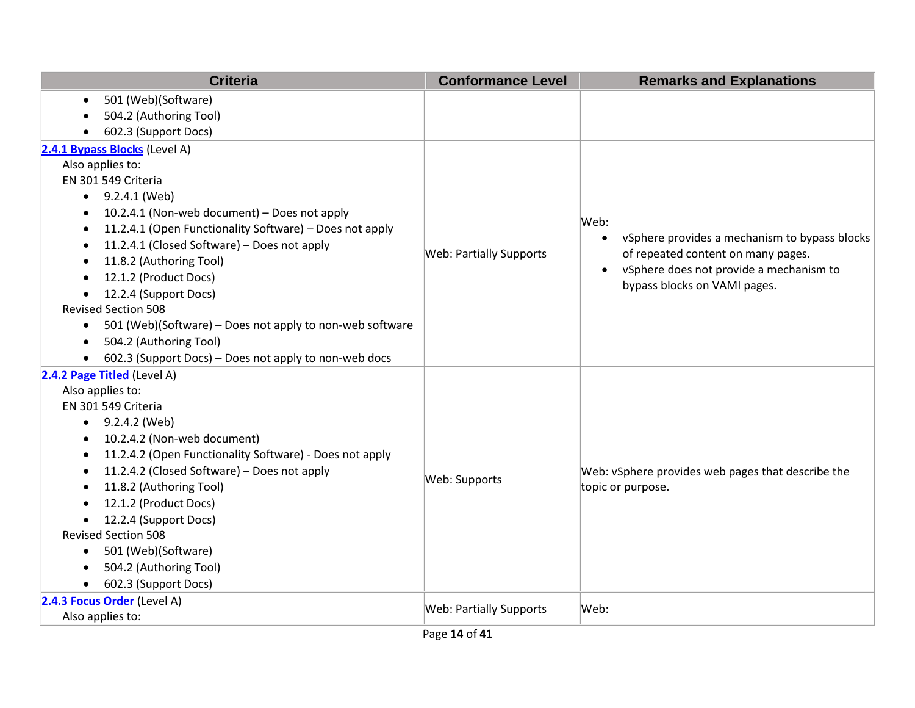| <b>Criteria</b>                                                       | <b>Conformance Level</b>       | <b>Remarks and Explanations</b>                   |
|-----------------------------------------------------------------------|--------------------------------|---------------------------------------------------|
| 501 (Web)(Software)                                                   |                                |                                                   |
| 504.2 (Authoring Tool)                                                |                                |                                                   |
| 602.3 (Support Docs)                                                  |                                |                                                   |
| 2.4.1 Bypass Blocks (Level A)                                         |                                |                                                   |
| Also applies to:                                                      |                                |                                                   |
| EN 301 549 Criteria                                                   |                                |                                                   |
| 9.2.4.1 (Web)                                                         |                                |                                                   |
| 10.2.4.1 (Non-web document) - Does not apply                          |                                | Web:                                              |
| 11.2.4.1 (Open Functionality Software) - Does not apply               |                                | vSphere provides a mechanism to bypass blocks     |
| 11.2.4.1 (Closed Software) - Does not apply                           | <b>Web: Partially Supports</b> | $\bullet$<br>of repeated content on many pages.   |
| 11.8.2 (Authoring Tool)                                               |                                | vSphere does not provide a mechanism to           |
| 12.1.2 (Product Docs)                                                 |                                | $\bullet$<br>bypass blocks on VAMI pages.         |
| 12.2.4 (Support Docs)<br>$\bullet$                                    |                                |                                                   |
| <b>Revised Section 508</b>                                            |                                |                                                   |
| 501 (Web)(Software) - Does not apply to non-web software<br>$\bullet$ |                                |                                                   |
| 504.2 (Authoring Tool)<br>$\bullet$                                   |                                |                                                   |
| 602.3 (Support Docs) – Does not apply to non-web docs<br>$\bullet$    |                                |                                                   |
| 2.4.2 Page Titled (Level A)                                           |                                |                                                   |
| Also applies to:                                                      |                                |                                                   |
| EN 301 549 Criteria                                                   |                                |                                                   |
| $\bullet$ 9.2.4.2 (Web)                                               |                                |                                                   |
| 10.2.4.2 (Non-web document)                                           |                                |                                                   |
| 11.2.4.2 (Open Functionality Software) - Does not apply<br>$\bullet$  |                                |                                                   |
| 11.2.4.2 (Closed Software) - Does not apply                           | Web: Supports                  | Web: vSphere provides web pages that describe the |
| 11.8.2 (Authoring Tool)                                               |                                | topic or purpose.                                 |
| 12.1.2 (Product Docs)                                                 |                                |                                                   |
| 12.2.4 (Support Docs)                                                 |                                |                                                   |
| <b>Revised Section 508</b>                                            |                                |                                                   |
| 501 (Web)(Software)<br>$\bullet$                                      |                                |                                                   |
| 504.2 (Authoring Tool)                                                |                                |                                                   |
| 602.3 (Support Docs)<br>$\bullet$                                     |                                |                                                   |
| 2.4.3 Focus Order (Level A)                                           | <b>Web: Partially Supports</b> | Web:                                              |
| Also applies to:                                                      |                                |                                                   |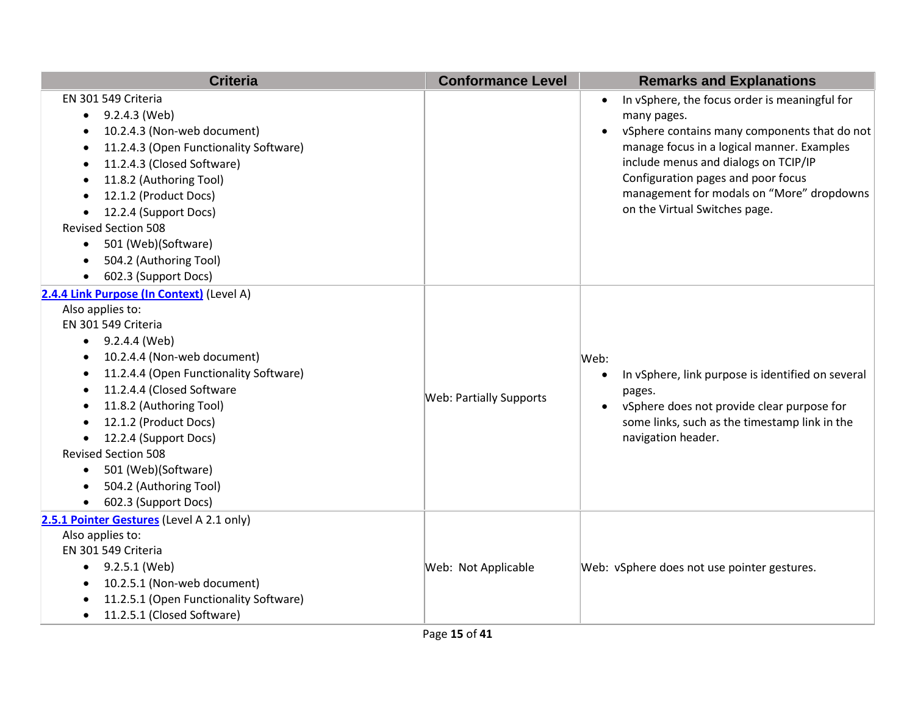| <b>Criteria</b>                                                                                                                                                                                                                                                                                                                                                                                                                                  | <b>Conformance Level</b>       | <b>Remarks and Explanations</b>                                                                                                                                                                                                                                                                                                                  |
|--------------------------------------------------------------------------------------------------------------------------------------------------------------------------------------------------------------------------------------------------------------------------------------------------------------------------------------------------------------------------------------------------------------------------------------------------|--------------------------------|--------------------------------------------------------------------------------------------------------------------------------------------------------------------------------------------------------------------------------------------------------------------------------------------------------------------------------------------------|
| EN 301 549 Criteria<br>9.2.4.3 (Web)<br>$\bullet$<br>10.2.4.3 (Non-web document)<br>11.2.4.3 (Open Functionality Software)<br>$\bullet$<br>11.2.4.3 (Closed Software)<br>$\bullet$<br>11.8.2 (Authoring Tool)<br>12.1.2 (Product Docs)<br>12.2.4 (Support Docs)<br><b>Revised Section 508</b><br>501 (Web)(Software)<br>$\bullet$<br>504.2 (Authoring Tool)<br>$\bullet$<br>602.3 (Support Docs)                                                 |                                | In vSphere, the focus order is meaningful for<br>$\bullet$<br>many pages.<br>vSphere contains many components that do not<br>$\bullet$<br>manage focus in a logical manner. Examples<br>include menus and dialogs on TCIP/IP<br>Configuration pages and poor focus<br>management for modals on "More" dropdowns<br>on the Virtual Switches page. |
| 2.4.4 Link Purpose (In Context) (Level A)<br>Also applies to:<br>EN 301 549 Criteria<br>$\bullet$ 9.2.4.4 (Web)<br>10.2.4.4 (Non-web document)<br>$\bullet$<br>11.2.4.4 (Open Functionality Software)<br>11.2.4.4 (Closed Software<br>11.8.2 (Authoring Tool)<br>12.1.2 (Product Docs)<br>12.2.4 (Support Docs)<br>$\bullet$<br><b>Revised Section 508</b><br>501 (Web)(Software)<br>$\bullet$<br>504.2 (Authoring Tool)<br>602.3 (Support Docs) | <b>Web: Partially Supports</b> | Web:<br>In vSphere, link purpose is identified on several<br>$\bullet$<br>pages.<br>vSphere does not provide clear purpose for<br>$\bullet$<br>some links, such as the timestamp link in the<br>navigation header.                                                                                                                               |
| 2.5.1 Pointer Gestures (Level A 2.1 only)<br>Also applies to:<br>EN 301 549 Criteria<br>$\bullet$ 9.2.5.1 (Web)<br>10.2.5.1 (Non-web document)<br>11.2.5.1 (Open Functionality Software)<br>11.2.5.1 (Closed Software)<br>$\bullet$                                                                                                                                                                                                              | Web: Not Applicable            | Web: vSphere does not use pointer gestures.                                                                                                                                                                                                                                                                                                      |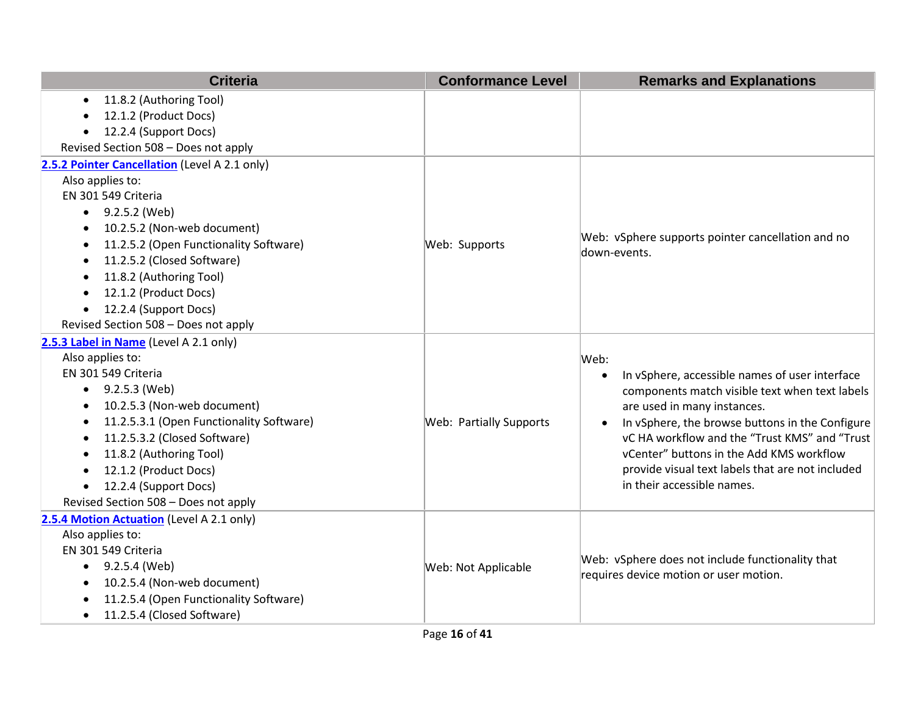| <b>Criteria</b>                                       | <b>Conformance Level</b>       | <b>Remarks and Explanations</b>                                                                                                                                                                                                              |
|-------------------------------------------------------|--------------------------------|----------------------------------------------------------------------------------------------------------------------------------------------------------------------------------------------------------------------------------------------|
| 11.8.2 (Authoring Tool)<br>$\bullet$                  |                                |                                                                                                                                                                                                                                              |
| 12.1.2 (Product Docs)<br>$\bullet$                    |                                |                                                                                                                                                                                                                                              |
| 12.2.4 (Support Docs)<br>$\bullet$                    |                                |                                                                                                                                                                                                                                              |
| Revised Section 508 - Does not apply                  |                                |                                                                                                                                                                                                                                              |
| 2.5.2 Pointer Cancellation (Level A 2.1 only)         |                                |                                                                                                                                                                                                                                              |
| Also applies to:                                      |                                |                                                                                                                                                                                                                                              |
| EN 301 549 Criteria                                   |                                |                                                                                                                                                                                                                                              |
| 9.2.5.2 (Web)<br>$\bullet$                            |                                |                                                                                                                                                                                                                                              |
| 10.2.5.2 (Non-web document)<br>$\bullet$              |                                |                                                                                                                                                                                                                                              |
| 11.2.5.2 (Open Functionality Software)<br>$\bullet$   | Web: Supports                  | Web: vSphere supports pointer cancellation and no<br>down-events.                                                                                                                                                                            |
| 11.2.5.2 (Closed Software)<br>$\bullet$               |                                |                                                                                                                                                                                                                                              |
| 11.8.2 (Authoring Tool)<br>$\bullet$                  |                                |                                                                                                                                                                                                                                              |
| 12.1.2 (Product Docs)<br>$\bullet$                    |                                |                                                                                                                                                                                                                                              |
| 12.2.4 (Support Docs)<br>$\bullet$                    |                                |                                                                                                                                                                                                                                              |
| Revised Section 508 - Does not apply                  |                                |                                                                                                                                                                                                                                              |
| 2.5.3 Label in Name (Level A 2.1 only)                |                                |                                                                                                                                                                                                                                              |
| Also applies to:                                      |                                | Web:                                                                                                                                                                                                                                         |
| EN 301 549 Criteria                                   |                                | In vSphere, accessible names of user interface<br>$\bullet$                                                                                                                                                                                  |
| 9.2.5.3 (Web)<br>$\bullet$                            |                                | components match visible text when text labels                                                                                                                                                                                               |
| 10.2.5.3 (Non-web document)<br>$\bullet$              |                                | are used in many instances.<br>In vSphere, the browse buttons in the Configure<br>$\bullet$<br>vC HA workflow and the "Trust KMS" and "Trust<br>vCenter" buttons in the Add KMS workflow<br>provide visual text labels that are not included |
| 11.2.5.3.1 (Open Functionality Software)<br>$\bullet$ | <b>Web: Partially Supports</b> |                                                                                                                                                                                                                                              |
| 11.2.5.3.2 (Closed Software)<br>$\bullet$             |                                |                                                                                                                                                                                                                                              |
| 11.8.2 (Authoring Tool)<br>$\bullet$                  |                                |                                                                                                                                                                                                                                              |
| 12.1.2 (Product Docs)<br>$\bullet$                    |                                |                                                                                                                                                                                                                                              |
| 12.2.4 (Support Docs)<br>$\bullet$                    |                                | in their accessible names.                                                                                                                                                                                                                   |
| Revised Section 508 - Does not apply                  |                                |                                                                                                                                                                                                                                              |
| 2.5.4 Motion Actuation (Level A 2.1 only)             |                                |                                                                                                                                                                                                                                              |
| Also applies to:                                      |                                |                                                                                                                                                                                                                                              |
| EN 301 549 Criteria                                   | Web: Not Applicable            | Web: vSphere does not include functionality that                                                                                                                                                                                             |
| 9.2.5.4 (Web)<br>$\bullet$                            |                                | requires device motion or user motion.                                                                                                                                                                                                       |
| 10.2.5.4 (Non-web document)<br>$\bullet$              |                                |                                                                                                                                                                                                                                              |
| 11.2.5.4 (Open Functionality Software)<br>$\bullet$   |                                |                                                                                                                                                                                                                                              |
| 11.2.5.4 (Closed Software)<br>$\bullet$               |                                |                                                                                                                                                                                                                                              |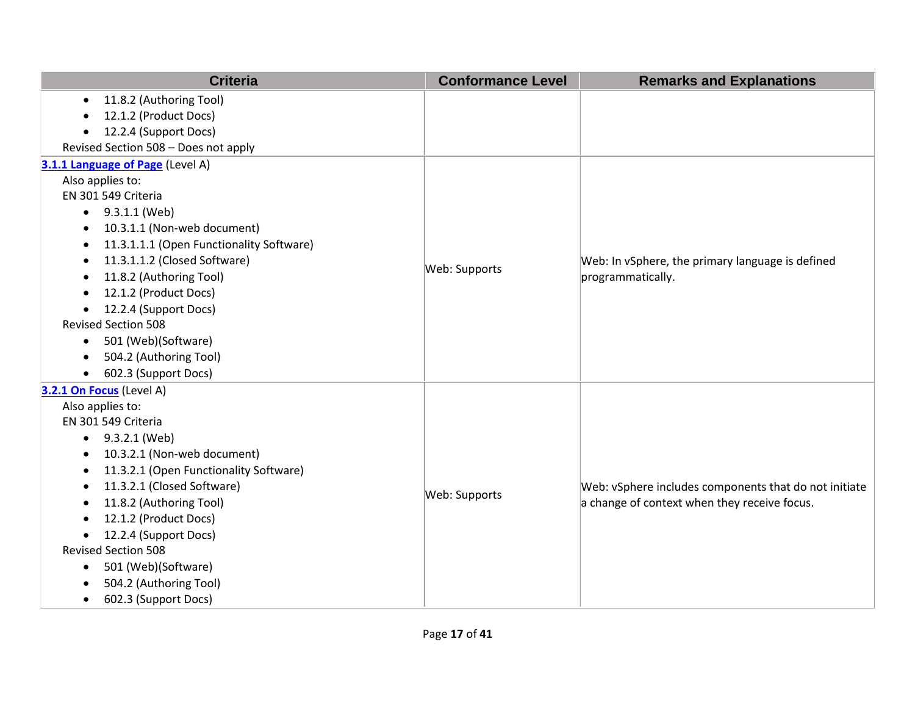| <b>Criteria</b>                                       | <b>Conformance Level</b> | <b>Remarks and Explanations</b>                       |
|-------------------------------------------------------|--------------------------|-------------------------------------------------------|
| 11.8.2 (Authoring Tool)<br>$\bullet$                  |                          |                                                       |
| 12.1.2 (Product Docs)<br>$\bullet$                    |                          |                                                       |
| 12.2.4 (Support Docs)<br>$\bullet$                    |                          |                                                       |
| Revised Section 508 - Does not apply                  |                          |                                                       |
| 3.1.1 Language of Page (Level A)                      |                          |                                                       |
| Also applies to:                                      |                          |                                                       |
| EN 301 549 Criteria                                   |                          |                                                       |
| 9.3.1.1 (Web)<br>$\bullet$                            |                          |                                                       |
| 10.3.1.1 (Non-web document)<br>٠                      |                          |                                                       |
| 11.3.1.1.1 (Open Functionality Software)<br>$\bullet$ |                          |                                                       |
| 11.3.1.1.2 (Closed Software)<br>٠                     | Web: Supports            | Web: In vSphere, the primary language is defined      |
| 11.8.2 (Authoring Tool)<br>٠                          |                          | programmatically.                                     |
| 12.1.2 (Product Docs)<br>$\bullet$                    |                          |                                                       |
| 12.2.4 (Support Docs)<br>$\bullet$                    |                          |                                                       |
| <b>Revised Section 508</b>                            |                          |                                                       |
| 501 (Web)(Software)<br>$\bullet$                      |                          |                                                       |
| 504.2 (Authoring Tool)<br>$\bullet$                   |                          |                                                       |
| 602.3 (Support Docs)<br>$\bullet$                     |                          |                                                       |
| 3.2.1 On Focus (Level A)                              |                          |                                                       |
| Also applies to:                                      |                          |                                                       |
| EN 301 549 Criteria                                   |                          |                                                       |
| 9.3.2.1 (Web)<br>$\bullet$                            |                          |                                                       |
| 10.3.2.1 (Non-web document)<br>$\bullet$              |                          |                                                       |
| 11.3.2.1 (Open Functionality Software)<br>$\bullet$   |                          |                                                       |
| 11.3.2.1 (Closed Software)<br>٠                       | Web: Supports            | Web: vSphere includes components that do not initiate |
| 11.8.2 (Authoring Tool)<br>$\bullet$                  |                          | a change of context when they receive focus.          |
| 12.1.2 (Product Docs)<br>$\bullet$                    |                          |                                                       |
| 12.2.4 (Support Docs)<br>$\bullet$                    |                          |                                                       |
| <b>Revised Section 508</b>                            |                          |                                                       |
| 501 (Web)(Software)<br>$\bullet$                      |                          |                                                       |
| 504.2 (Authoring Tool)<br>$\bullet$                   |                          |                                                       |
| 602.3 (Support Docs)<br>$\bullet$                     |                          |                                                       |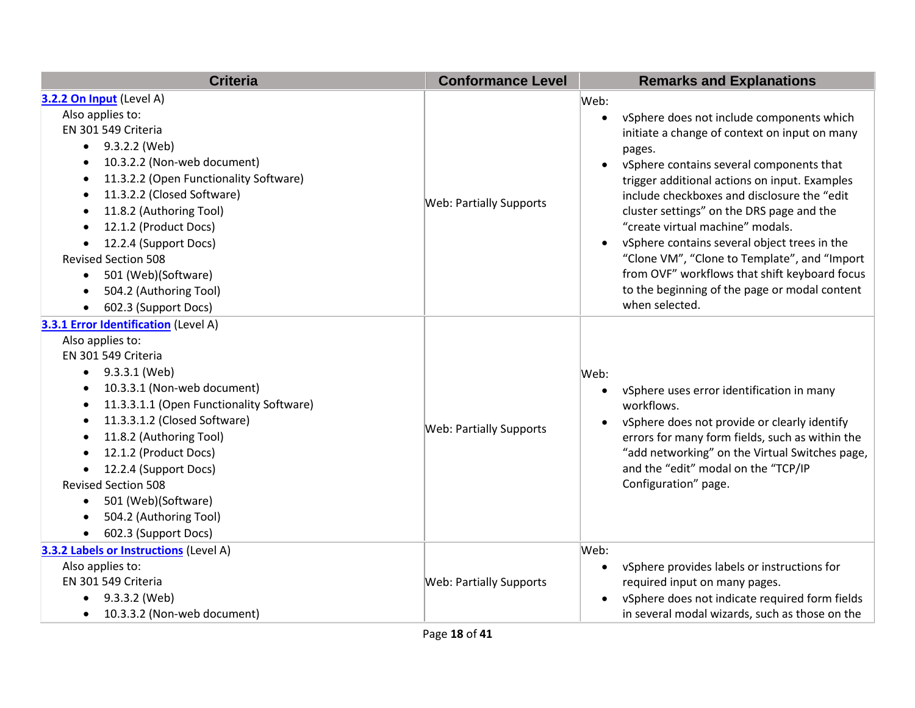| <b>Criteria</b>                                       | <b>Conformance Level</b>       | <b>Remarks and Explanations</b>                 |
|-------------------------------------------------------|--------------------------------|-------------------------------------------------|
| 3.2.2 On Input (Level A)                              |                                | Web:                                            |
| Also applies to:                                      |                                | vSphere does not include components which       |
| EN 301 549 Criteria                                   |                                | initiate a change of context on input on many   |
| 9.3.2.2 (Web)<br>$\bullet$                            |                                | pages.                                          |
| 10.3.2.2 (Non-web document)<br>$\bullet$              |                                | vSphere contains several components that        |
| 11.3.2.2 (Open Functionality Software)<br>$\bullet$   |                                | trigger additional actions on input. Examples   |
| 11.3.2.2 (Closed Software)<br>$\bullet$               | <b>Web: Partially Supports</b> | include checkboxes and disclosure the "edit     |
| 11.8.2 (Authoring Tool)<br>$\bullet$                  |                                | cluster settings" on the DRS page and the       |
| 12.1.2 (Product Docs)<br>$\bullet$                    |                                | "create virtual machine" modals.                |
| 12.2.4 (Support Docs)<br>$\bullet$                    |                                | vSphere contains several object trees in the    |
| <b>Revised Section 508</b>                            |                                | "Clone VM", "Clone to Template", and "Import    |
| 501 (Web)(Software)<br>$\bullet$                      |                                | from OVF" workflows that shift keyboard focus   |
| 504.2 (Authoring Tool)<br>$\bullet$                   |                                | to the beginning of the page or modal content   |
| 602.3 (Support Docs)<br>$\bullet$                     |                                | when selected.                                  |
| 3.3.1 Error Identification (Level A)                  |                                |                                                 |
| Also applies to:                                      |                                |                                                 |
| EN 301 549 Criteria                                   |                                |                                                 |
| 9.3.3.1 (Web)<br>$\bullet$                            |                                | Web:                                            |
| 10.3.3.1 (Non-web document)<br>$\bullet$              |                                | vSphere uses error identification in many       |
| 11.3.3.1.1 (Open Functionality Software)<br>$\bullet$ |                                | workflows.                                      |
| 11.3.3.1.2 (Closed Software)<br>$\bullet$             | Web: Partially Supports        | vSphere does not provide or clearly identify    |
| 11.8.2 (Authoring Tool)<br>$\bullet$                  |                                | errors for many form fields, such as within the |
| 12.1.2 (Product Docs)<br>$\bullet$                    |                                | "add networking" on the Virtual Switches page,  |
| 12.2.4 (Support Docs)                                 |                                | and the "edit" modal on the "TCP/IP             |
| <b>Revised Section 508</b>                            |                                | Configuration" page.                            |
| 501 (Web)(Software)<br>$\bullet$                      |                                |                                                 |
| 504.2 (Authoring Tool)<br>$\bullet$                   |                                |                                                 |
| 602.3 (Support Docs)<br>$\bullet$                     |                                |                                                 |
| 3.3.2 Labels or Instructions (Level A)                |                                | Web:                                            |
| Also applies to:                                      |                                | vSphere provides labels or instructions for     |
| EN 301 549 Criteria                                   | <b>Web: Partially Supports</b> | required input on many pages.                   |
| 9.3.3.2 (Web)<br>$\bullet$                            |                                | vSphere does not indicate required form fields  |
| 10.3.3.2 (Non-web document)<br>$\bullet$              |                                | in several modal wizards, such as those on the  |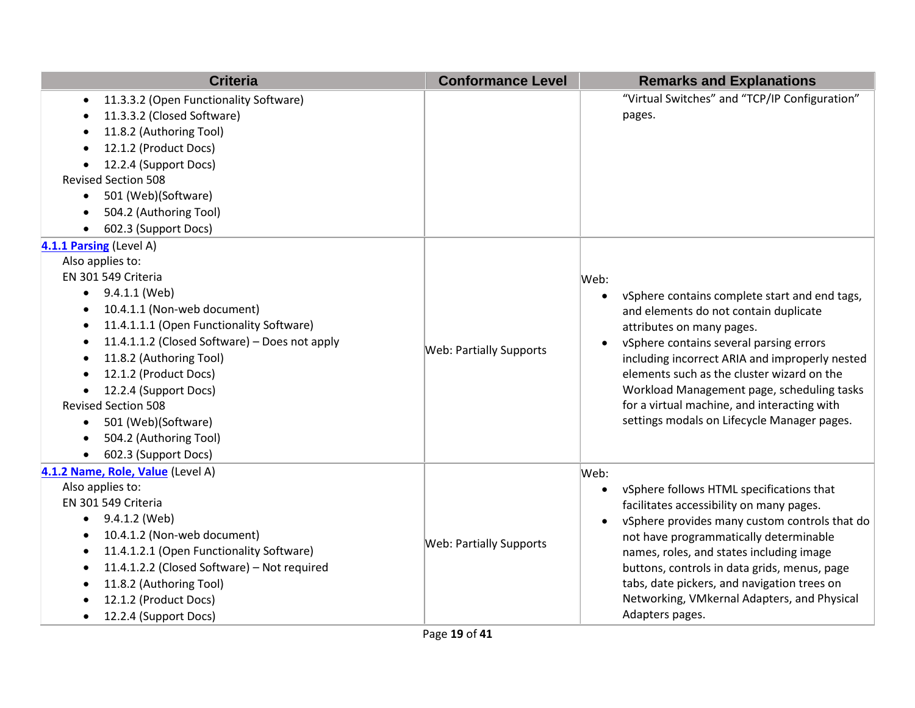| <b>Criteria</b>                                            | <b>Conformance Level</b>       | <b>Remarks and Explanations</b>                |
|------------------------------------------------------------|--------------------------------|------------------------------------------------|
| 11.3.3.2 (Open Functionality Software)<br>$\bullet$        |                                | "Virtual Switches" and "TCP/IP Configuration"  |
| 11.3.3.2 (Closed Software)<br>٠                            |                                | pages.                                         |
| 11.8.2 (Authoring Tool)<br>$\bullet$                       |                                |                                                |
| 12.1.2 (Product Docs)                                      |                                |                                                |
| 12.2.4 (Support Docs)                                      |                                |                                                |
| <b>Revised Section 508</b>                                 |                                |                                                |
| 501 (Web)(Software)<br>$\bullet$                           |                                |                                                |
| 504.2 (Authoring Tool)                                     |                                |                                                |
| 602.3 (Support Docs)<br>$\bullet$                          |                                |                                                |
| 4.1.1 Parsing (Level A)                                    |                                |                                                |
| Also applies to:                                           |                                |                                                |
| EN 301 549 Criteria                                        |                                | Web:                                           |
| 9.4.1.1 (Web)<br>$\bullet$                                 |                                | vSphere contains complete start and end tags,  |
| 10.4.1.1 (Non-web document)<br>$\bullet$                   |                                | and elements do not contain duplicate          |
| 11.4.1.1.1 (Open Functionality Software)<br>$\bullet$      |                                | attributes on many pages.                      |
| 11.4.1.1.2 (Closed Software) - Does not apply<br>$\bullet$ | <b>Web: Partially Supports</b> | vSphere contains several parsing errors        |
| 11.8.2 (Authoring Tool)                                    |                                | including incorrect ARIA and improperly nested |
| 12.1.2 (Product Docs)                                      |                                | elements such as the cluster wizard on the     |
| 12.2.4 (Support Docs)                                      |                                | Workload Management page, scheduling tasks     |
| <b>Revised Section 508</b>                                 |                                | for a virtual machine, and interacting with    |
| 501 (Web)(Software)<br>$\bullet$                           |                                | settings modals on Lifecycle Manager pages.    |
| 504.2 (Authoring Tool)<br>$\bullet$                        |                                |                                                |
| 602.3 (Support Docs)                                       |                                |                                                |
| 4.1.2 Name, Role, Value (Level A)                          |                                | Web:                                           |
| Also applies to:                                           |                                | vSphere follows HTML specifications that       |
| EN 301 549 Criteria                                        |                                | facilitates accessibility on many pages.       |
| 9.4.1.2 (Web)<br>$\bullet$                                 |                                | vSphere provides many custom controls that do  |
| 10.4.1.2 (Non-web document)<br>$\bullet$                   | <b>Web: Partially Supports</b> | not have programmatically determinable         |
| 11.4.1.2.1 (Open Functionality Software)<br>$\bullet$      |                                | names, roles, and states including image       |
| 11.4.1.2.2 (Closed Software) - Not required<br>$\bullet$   |                                | buttons, controls in data grids, menus, page   |
| 11.8.2 (Authoring Tool)<br>٠                               |                                | tabs, date pickers, and navigation trees on    |
| 12.1.2 (Product Docs)                                      |                                | Networking, VMkernal Adapters, and Physical    |
| 12.2.4 (Support Docs)<br>$\bullet$                         |                                | Adapters pages.                                |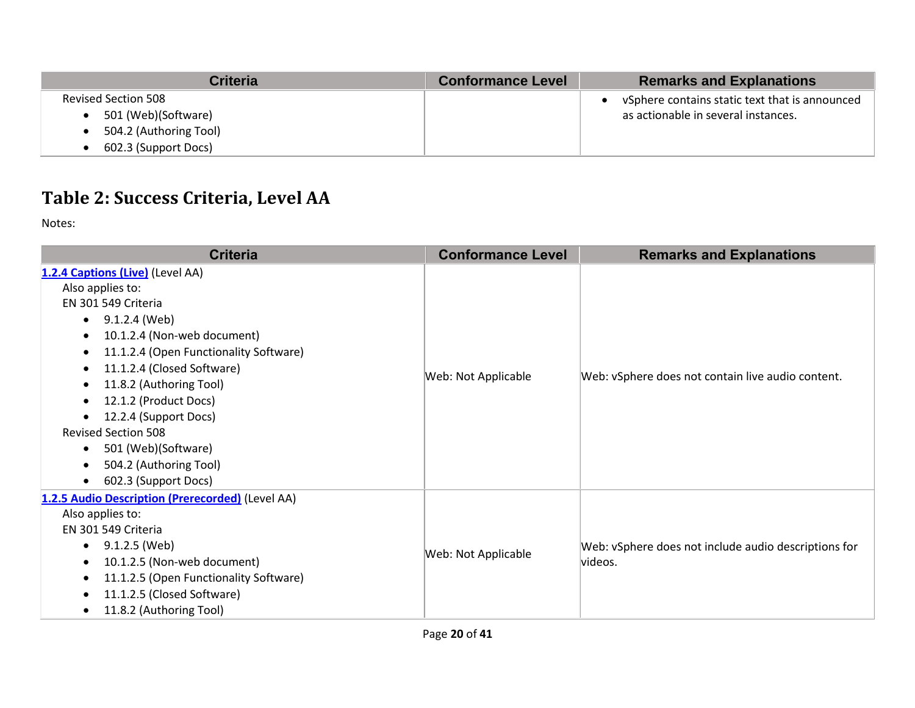| <b>Criteria</b>            | <b>Conformance Level</b> | <b>Remarks and Explanations</b>                |
|----------------------------|--------------------------|------------------------------------------------|
| <b>Revised Section 508</b> |                          | vSphere contains static text that is announced |
| 501 (Web)(Software)        |                          | as actionable in several instances.            |
| 504.2 (Authoring Tool)     |                          |                                                |
| 602.3 (Support Docs)       |                          |                                                |

## **Table 2: Success Criteria, Level AA**

Notes:

| <b>Criteria</b>                                                                                                                                                                                                                                                                                                                                                                                                                                                            | <b>Conformance Level</b> | <b>Remarks and Explanations</b>                                 |
|----------------------------------------------------------------------------------------------------------------------------------------------------------------------------------------------------------------------------------------------------------------------------------------------------------------------------------------------------------------------------------------------------------------------------------------------------------------------------|--------------------------|-----------------------------------------------------------------|
| 1.2.4 Captions (Live) (Level AA)<br>Also applies to:<br>EN 301 549 Criteria<br>9.1.2.4 (Web)<br>$\bullet$<br>10.1.2.4 (Non-web document)<br>$\bullet$<br>11.1.2.4 (Open Functionality Software)<br>$\bullet$<br>11.1.2.4 (Closed Software)<br>11.8.2 (Authoring Tool)<br>$\bullet$<br>12.1.2 (Product Docs)<br>$\bullet$<br>12.2.4 (Support Docs)<br>٠<br><b>Revised Section 508</b><br>501 (Web)(Software)<br>$\bullet$<br>504.2 (Authoring Tool)<br>602.3 (Support Docs) | Web: Not Applicable      | Web: vSphere does not contain live audio content.               |
| 1.2.5 Audio Description (Prerecorded) (Level AA)<br>Also applies to:<br>EN 301 549 Criteria<br>9.1.2.5 (Web)<br>$\bullet$<br>10.1.2.5 (Non-web document)<br>$\bullet$<br>11.1.2.5 (Open Functionality Software)<br>11.1.2.5 (Closed Software)<br>$\bullet$<br>11.8.2 (Authoring Tool)<br>$\bullet$                                                                                                                                                                         | Web: Not Applicable      | Web: vSphere does not include audio descriptions for<br>videos. |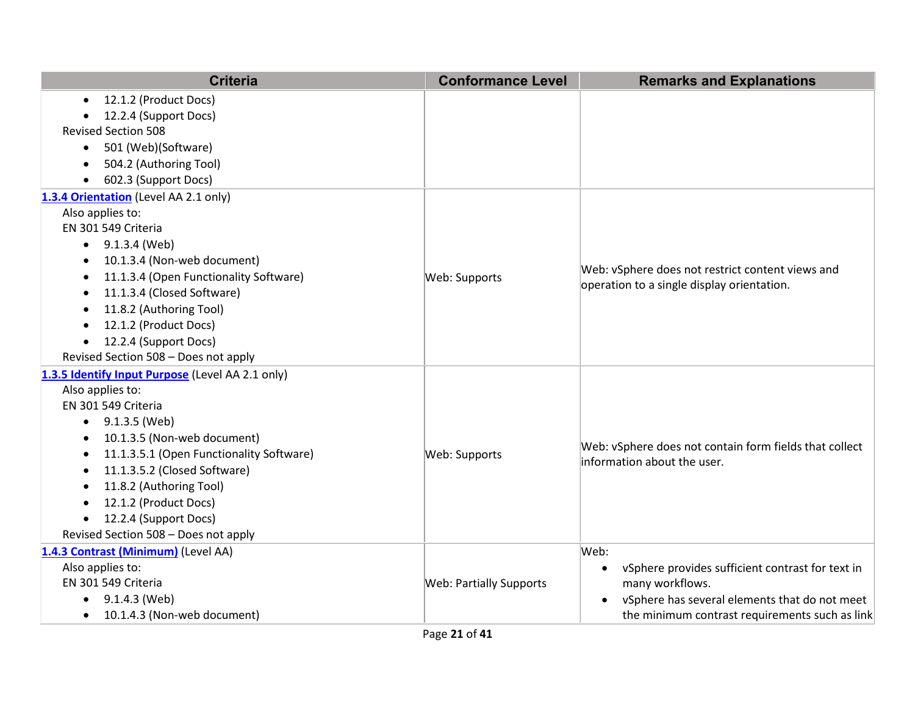|                  | <b>Criteria</b>                                  | <b>Conformance Level</b>       | <b>Remarks and Explanations</b>                               |
|------------------|--------------------------------------------------|--------------------------------|---------------------------------------------------------------|
| $\bullet$        | 12.1.2 (Product Docs)                            |                                |                                                               |
|                  | 12.2.4 (Support Docs)                            |                                |                                                               |
|                  | <b>Revised Section 508</b>                       |                                |                                                               |
| $\bullet$        | 501 (Web)(Software)                              |                                |                                                               |
|                  | 504.2 (Authoring Tool)                           |                                |                                                               |
|                  | 602.3 (Support Docs)                             |                                |                                                               |
|                  | 1.3.4 Orientation (Level AA 2.1 only)            |                                |                                                               |
| Also applies to: |                                                  |                                |                                                               |
|                  | EN 301 549 Criteria                              |                                |                                                               |
|                  | $\bullet$ 9.1.3.4 (Web)                          |                                |                                                               |
| ٠                | 10.1.3.4 (Non-web document)                      |                                |                                                               |
|                  | 11.1.3.4 (Open Functionality Software)           | Web: Supports                  | Web: vSphere does not restrict content views and              |
| $\bullet$        | 11.1.3.4 (Closed Software)                       |                                | operation to a single display orientation.                    |
| $\bullet$        | 11.8.2 (Authoring Tool)                          |                                |                                                               |
| $\bullet$        | 12.1.2 (Product Docs)                            |                                |                                                               |
| $\bullet$        | 12.2.4 (Support Docs)                            |                                |                                                               |
|                  | Revised Section 508 - Does not apply             |                                |                                                               |
|                  | 1.3.5 Identify Input Purpose (Level AA 2.1 only) |                                |                                                               |
| Also applies to: |                                                  |                                |                                                               |
|                  | EN 301 549 Criteria                              |                                |                                                               |
|                  | $\bullet$ 9.1.3.5 (Web)                          |                                |                                                               |
|                  | 10.1.3.5 (Non-web document)                      |                                | Web: vSphere does not contain form fields that collect        |
|                  | 11.1.3.5.1 (Open Functionality Software)         | Web: Supports                  | information about the user.                                   |
|                  | 11.1.3.5.2 (Closed Software)                     |                                |                                                               |
|                  | 11.8.2 (Authoring Tool)                          |                                |                                                               |
| $\bullet$        | 12.1.2 (Product Docs)                            |                                |                                                               |
| $\bullet$        | 12.2.4 (Support Docs)                            |                                |                                                               |
|                  | Revised Section 508 - Does not apply             |                                |                                                               |
|                  | 1.4.3 Contrast (Minimum) (Level AA)              |                                | Web:                                                          |
| Also applies to: |                                                  | <b>Web: Partially Supports</b> | vSphere provides sufficient contrast for text in<br>$\bullet$ |
|                  | EN 301 549 Criteria                              |                                | many workflows.                                               |
| $\bullet$        | 9.1.4.3 (Web)                                    |                                | vSphere has several elements that do not meet<br>$\bullet$    |
|                  | 10.1.4.3 (Non-web document)                      |                                | the minimum contrast requirements such as link                |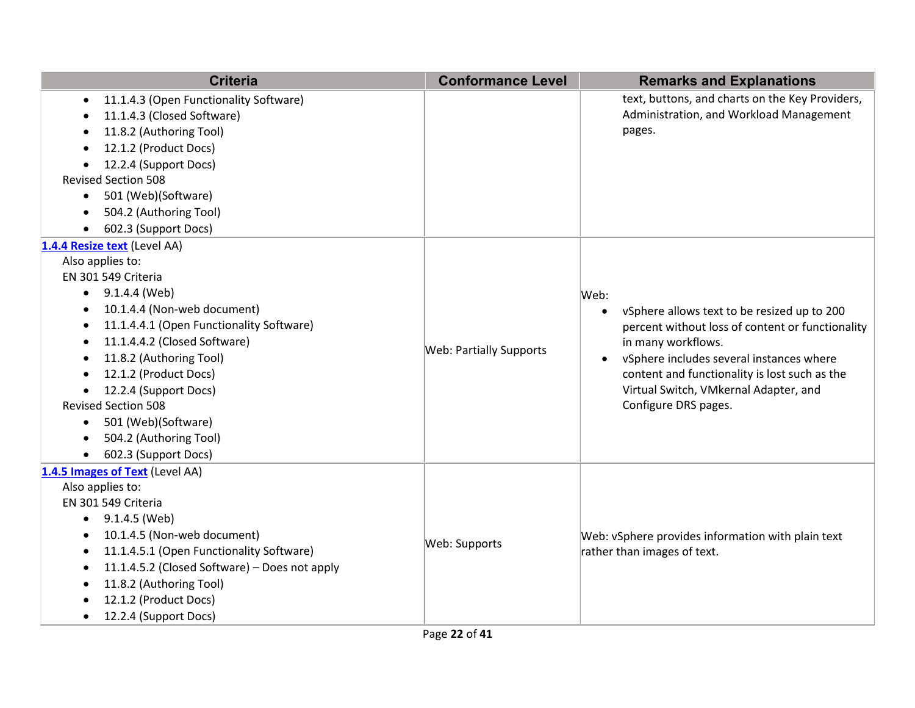| <b>Criteria</b>                                                                                                                                                                                                                                                                                                                                                                                                                                                                                 | <b>Conformance Level</b>       | <b>Remarks and Explanations</b>                                                                                                                                                                                                                                                             |
|-------------------------------------------------------------------------------------------------------------------------------------------------------------------------------------------------------------------------------------------------------------------------------------------------------------------------------------------------------------------------------------------------------------------------------------------------------------------------------------------------|--------------------------------|---------------------------------------------------------------------------------------------------------------------------------------------------------------------------------------------------------------------------------------------------------------------------------------------|
| 11.1.4.3 (Open Functionality Software)<br>$\bullet$<br>11.1.4.3 (Closed Software)<br>$\bullet$<br>11.8.2 (Authoring Tool)<br>٠<br>12.1.2 (Product Docs)<br>$\bullet$<br>12.2.4 (Support Docs)<br><b>Revised Section 508</b><br>501 (Web)(Software)<br>$\bullet$<br>504.2 (Authoring Tool)<br>$\bullet$<br>602.3 (Support Docs)<br>$\bullet$                                                                                                                                                     |                                | text, buttons, and charts on the Key Providers,<br>Administration, and Workload Management<br>pages.                                                                                                                                                                                        |
| 1.4.4 Resize text (Level AA)<br>Also applies to:<br>EN 301 549 Criteria<br>9.1.4.4 (Web)<br>$\bullet$<br>10.1.4.4 (Non-web document)<br>$\bullet$<br>11.1.4.4.1 (Open Functionality Software)<br>$\bullet$<br>11.1.4.4.2 (Closed Software)<br>$\bullet$<br>11.8.2 (Authoring Tool)<br>$\bullet$<br>12.1.2 (Product Docs)<br>12.2.4 (Support Docs)<br><b>Revised Section 508</b><br>501 (Web)(Software)<br>$\bullet$<br>504.2 (Authoring Tool)<br>$\bullet$<br>602.3 (Support Docs)<br>$\bullet$ | <b>Web: Partially Supports</b> | Web:<br>vSphere allows text to be resized up to 200<br>percent without loss of content or functionality<br>in many workflows.<br>vSphere includes several instances where<br>content and functionality is lost such as the<br>Virtual Switch, VMkernal Adapter, and<br>Configure DRS pages. |
| 1.4.5 Images of Text (Level AA)<br>Also applies to:<br>EN 301 549 Criteria<br>9.1.4.5 (Web)<br>٠<br>10.1.4.5 (Non-web document)<br>$\bullet$<br>11.1.4.5.1 (Open Functionality Software)<br>$\bullet$<br>11.1.4.5.2 (Closed Software) - Does not apply<br>$\bullet$<br>11.8.2 (Authoring Tool)<br>12.1.2 (Product Docs)<br>12.2.4 (Support Docs)<br>$\bullet$                                                                                                                                   | Web: Supports                  | Web: vSphere provides information with plain text<br>rather than images of text.                                                                                                                                                                                                            |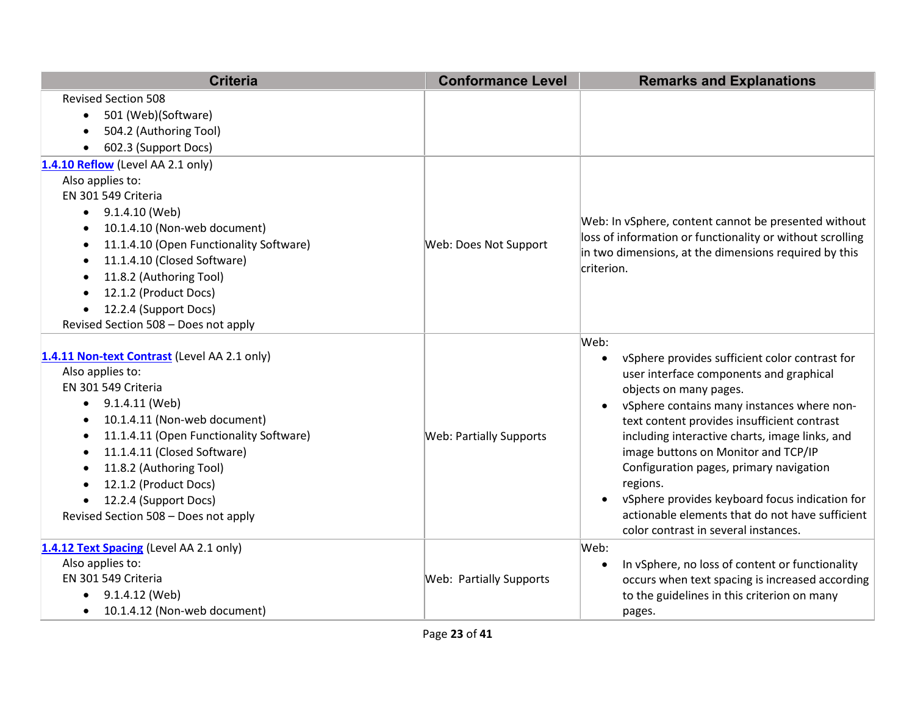| <b>Criteria</b>                                                                                                                                                                                                                                                                                                                                                                                                                     | <b>Conformance Level</b>       | <b>Remarks and Explanations</b>                                                                                                                                                                                                                                                                                                                                                                                                                                                                                       |
|-------------------------------------------------------------------------------------------------------------------------------------------------------------------------------------------------------------------------------------------------------------------------------------------------------------------------------------------------------------------------------------------------------------------------------------|--------------------------------|-----------------------------------------------------------------------------------------------------------------------------------------------------------------------------------------------------------------------------------------------------------------------------------------------------------------------------------------------------------------------------------------------------------------------------------------------------------------------------------------------------------------------|
| <b>Revised Section 508</b><br>501 (Web)(Software)<br>$\bullet$<br>504.2 (Authoring Tool)<br>$\bullet$<br>602.3 (Support Docs)<br>$\bullet$                                                                                                                                                                                                                                                                                          |                                |                                                                                                                                                                                                                                                                                                                                                                                                                                                                                                                       |
| 1.4.10 Reflow (Level AA 2.1 only)<br>Also applies to:<br>EN 301 549 Criteria<br>9.1.4.10 (Web)<br>$\bullet$<br>10.1.4.10 (Non-web document)<br>$\bullet$<br>11.1.4.10 (Open Functionality Software)<br>$\bullet$<br>11.1.4.10 (Closed Software)<br>$\bullet$<br>11.8.2 (Authoring Tool)<br>٠<br>12.1.2 (Product Docs)<br>$\bullet$<br>12.2.4 (Support Docs)<br>$\bullet$<br>Revised Section 508 - Does not apply                    | Web: Does Not Support          | Web: In vSphere, content cannot be presented without<br>loss of information or functionality or without scrolling<br>in two dimensions, at the dimensions required by this<br>criterion.                                                                                                                                                                                                                                                                                                                              |
| 1.4.11 Non-text Contrast (Level AA 2.1 only)<br>Also applies to:<br>EN 301 549 Criteria<br>9.1.4.11 (Web)<br>$\bullet$<br>10.1.4.11 (Non-web document)<br>$\bullet$<br>11.1.4.11 (Open Functionality Software)<br>$\bullet$<br>11.1.4.11 (Closed Software)<br>$\bullet$<br>11.8.2 (Authoring Tool)<br>$\bullet$<br>12.1.2 (Product Docs)<br>$\bullet$<br>12.2.4 (Support Docs)<br>$\bullet$<br>Revised Section 508 - Does not apply | <b>Web: Partially Supports</b> | Web:<br>vSphere provides sufficient color contrast for<br>user interface components and graphical<br>objects on many pages.<br>vSphere contains many instances where non-<br>text content provides insufficient contrast<br>including interactive charts, image links, and<br>image buttons on Monitor and TCP/IP<br>Configuration pages, primary navigation<br>regions.<br>vSphere provides keyboard focus indication for<br>actionable elements that do not have sufficient<br>color contrast in several instances. |
| 1.4.12 Text Spacing (Level AA 2.1 only)<br>Also applies to:<br>EN 301 549 Criteria<br>9.1.4.12 (Web)<br>10.1.4.12 (Non-web document)<br>$\bullet$                                                                                                                                                                                                                                                                                   | <b>Web: Partially Supports</b> | Web:<br>In vSphere, no loss of content or functionality<br>occurs when text spacing is increased according<br>to the guidelines in this criterion on many<br>pages.                                                                                                                                                                                                                                                                                                                                                   |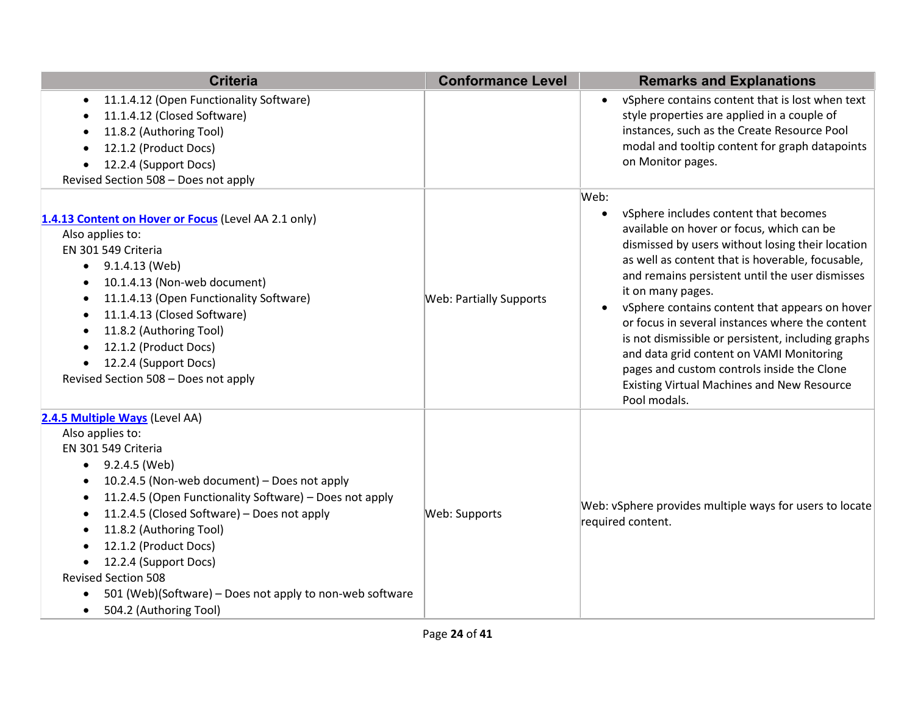| <b>Criteria</b>                                                                                                                                                                                                                                                                                                                                                                                                                                                                              | <b>Conformance Level</b>       | <b>Remarks and Explanations</b>                                                                                                                                                                                                                                                                                                                                                                                                                                                                                                                                                                      |
|----------------------------------------------------------------------------------------------------------------------------------------------------------------------------------------------------------------------------------------------------------------------------------------------------------------------------------------------------------------------------------------------------------------------------------------------------------------------------------------------|--------------------------------|------------------------------------------------------------------------------------------------------------------------------------------------------------------------------------------------------------------------------------------------------------------------------------------------------------------------------------------------------------------------------------------------------------------------------------------------------------------------------------------------------------------------------------------------------------------------------------------------------|
| 11.1.4.12 (Open Functionality Software)<br>$\bullet$<br>11.1.4.12 (Closed Software)<br>11.8.2 (Authoring Tool)<br>12.1.2 (Product Docs)<br>12.2.4 (Support Docs)<br>Revised Section 508 - Does not apply                                                                                                                                                                                                                                                                                     |                                | vSphere contains content that is lost when text<br>style properties are applied in a couple of<br>instances, such as the Create Resource Pool<br>modal and tooltip content for graph datapoints<br>on Monitor pages.                                                                                                                                                                                                                                                                                                                                                                                 |
| 1.4.13 Content on Hover or Focus (Level AA 2.1 only)<br>Also applies to:<br>EN 301 549 Criteria<br>9.1.4.13 (Web)<br>$\bullet$<br>10.1.4.13 (Non-web document)<br>11.1.4.13 (Open Functionality Software)<br>11.1.4.13 (Closed Software)<br>$\bullet$<br>11.8.2 (Authoring Tool)<br>12.1.2 (Product Docs)<br>12.2.4 (Support Docs)<br>Revised Section 508 - Does not apply                                                                                                                   | <b>Web: Partially Supports</b> | Web:<br>vSphere includes content that becomes<br>available on hover or focus, which can be<br>dismissed by users without losing their location<br>as well as content that is hoverable, focusable,<br>and remains persistent until the user dismisses<br>it on many pages.<br>vSphere contains content that appears on hover<br>or focus in several instances where the content<br>is not dismissible or persistent, including graphs<br>and data grid content on VAMI Monitoring<br>pages and custom controls inside the Clone<br><b>Existing Virtual Machines and New Resource</b><br>Pool modals. |
| 2.4.5 Multiple Ways (Level AA)<br>Also applies to:<br>EN 301 549 Criteria<br>9.2.4.5 (Web)<br>10.2.4.5 (Non-web document) - Does not apply<br>11.2.4.5 (Open Functionality Software) - Does not apply<br>11.2.4.5 (Closed Software) - Does not apply<br>$\bullet$<br>11.8.2 (Authoring Tool)<br>12.1.2 (Product Docs)<br>12.2.4 (Support Docs)<br><b>Revised Section 508</b><br>501 (Web)(Software) – Does not apply to non-web software<br>$\bullet$<br>504.2 (Authoring Tool)<br>$\bullet$ | Web: Supports                  | Web: vSphere provides multiple ways for users to locate<br>required content.                                                                                                                                                                                                                                                                                                                                                                                                                                                                                                                         |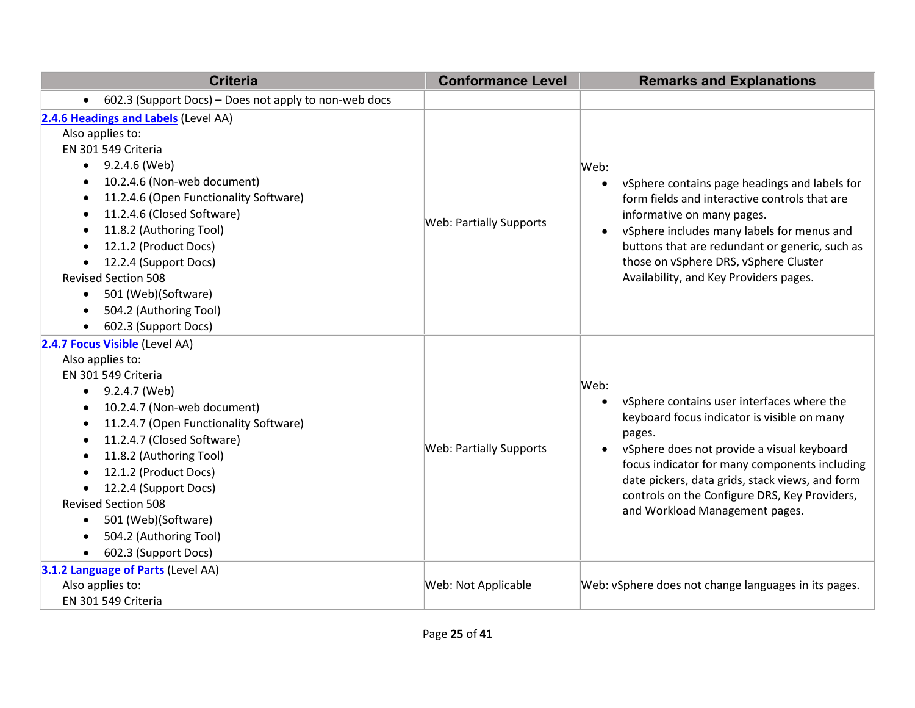| <b>Criteria</b>                                                                                                                                                                                                                                                                                                                                                                                                                                              | <b>Conformance Level</b>       | <b>Remarks and Explanations</b>                                                                                                                                                                                                                                                                                                                               |
|--------------------------------------------------------------------------------------------------------------------------------------------------------------------------------------------------------------------------------------------------------------------------------------------------------------------------------------------------------------------------------------------------------------------------------------------------------------|--------------------------------|---------------------------------------------------------------------------------------------------------------------------------------------------------------------------------------------------------------------------------------------------------------------------------------------------------------------------------------------------------------|
| 602.3 (Support Docs) - Does not apply to non-web docs<br>$\bullet$                                                                                                                                                                                                                                                                                                                                                                                           |                                |                                                                                                                                                                                                                                                                                                                                                               |
| 2.4.6 Headings and Labels (Level AA)<br>Also applies to:<br>EN 301 549 Criteria<br>9.2.4.6 (Web)<br>$\bullet$<br>10.2.4.6 (Non-web document)<br>$\bullet$<br>11.2.4.6 (Open Functionality Software)<br>11.2.4.6 (Closed Software)<br>$\bullet$<br>11.8.2 (Authoring Tool)<br>12.1.2 (Product Docs)<br>$\bullet$<br>12.2.4 (Support Docs)<br><b>Revised Section 508</b><br>501 (Web)(Software)<br>$\bullet$<br>504.2 (Authoring Tool)<br>602.3 (Support Docs) | <b>Web: Partially Supports</b> | Web:<br>vSphere contains page headings and labels for<br>$\bullet$<br>form fields and interactive controls that are<br>informative on many pages.<br>vSphere includes many labels for menus and<br>buttons that are redundant or generic, such as<br>those on vSphere DRS, vSphere Cluster<br>Availability, and Key Providers pages.                          |
| 2.4.7 Focus Visible (Level AA)<br>Also applies to:<br>EN 301 549 Criteria<br>9.2.4.7 (Web)<br>$\bullet$<br>10.2.4.7 (Non-web document)<br>11.2.4.7 (Open Functionality Software)<br>$\bullet$<br>11.2.4.7 (Closed Software)<br>$\bullet$<br>11.8.2 (Authoring Tool)<br>$\bullet$<br>12.1.2 (Product Docs)<br>12.2.4 (Support Docs)<br><b>Revised Section 508</b><br>501 (Web)(Software)<br>504.2 (Authoring Tool)<br>602.3 (Support Docs)                    | <b>Web: Partially Supports</b> | Web:<br>vSphere contains user interfaces where the<br>keyboard focus indicator is visible on many<br>pages.<br>vSphere does not provide a visual keyboard<br>$\bullet$<br>focus indicator for many components including<br>date pickers, data grids, stack views, and form<br>controls on the Configure DRS, Key Providers,<br>and Workload Management pages. |
| 3.1.2 Language of Parts (Level AA)<br>Also applies to:<br>EN 301 549 Criteria                                                                                                                                                                                                                                                                                                                                                                                | Web: Not Applicable            | Web: vSphere does not change languages in its pages.                                                                                                                                                                                                                                                                                                          |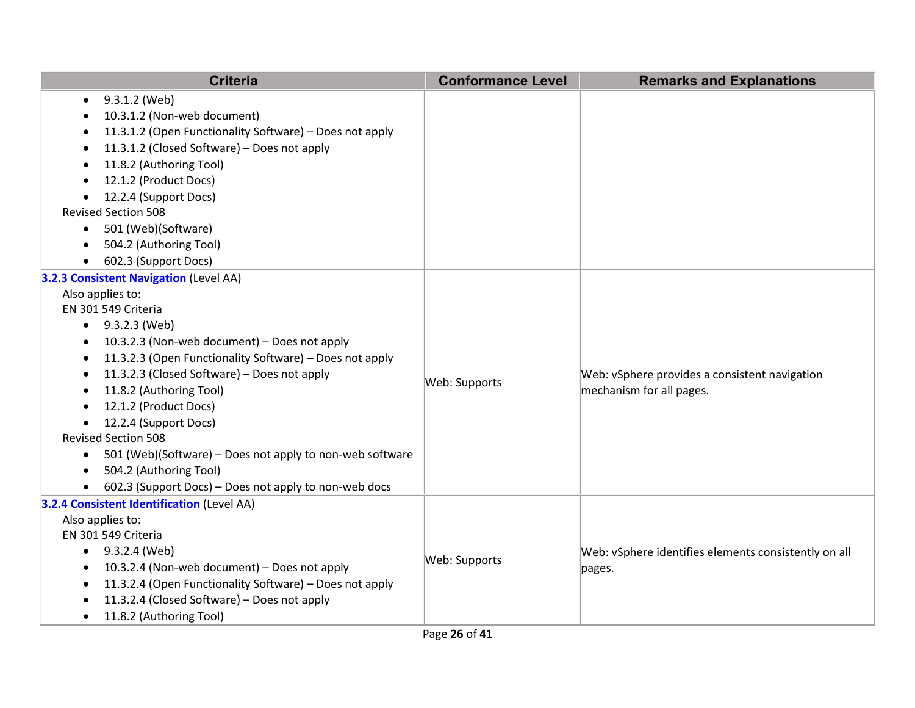| <b>Criteria</b>                                                       | <b>Conformance Level</b> | <b>Remarks and Explanations</b>                                           |
|-----------------------------------------------------------------------|--------------------------|---------------------------------------------------------------------------|
| 9.3.1.2 (Web)<br>$\bullet$                                            |                          |                                                                           |
| 10.3.1.2 (Non-web document)                                           |                          |                                                                           |
| 11.3.1.2 (Open Functionality Software) - Does not apply<br>$\bullet$  |                          |                                                                           |
| 11.3.1.2 (Closed Software) - Does not apply                           |                          |                                                                           |
| 11.8.2 (Authoring Tool)                                               |                          |                                                                           |
| 12.1.2 (Product Docs)                                                 |                          |                                                                           |
| 12.2.4 (Support Docs)                                                 |                          |                                                                           |
| <b>Revised Section 508</b>                                            |                          |                                                                           |
| 501 (Web)(Software)<br>$\bullet$                                      |                          |                                                                           |
| 504.2 (Authoring Tool)<br>$\bullet$                                   |                          |                                                                           |
| 602.3 (Support Docs)                                                  |                          |                                                                           |
| 3.2.3 Consistent Navigation (Level AA)                                |                          |                                                                           |
| Also applies to:                                                      |                          |                                                                           |
| EN 301 549 Criteria                                                   |                          |                                                                           |
| 9.3.2.3 (Web)<br>$\bullet$                                            |                          | Web: vSphere provides a consistent navigation<br>mechanism for all pages. |
| 10.3.2.3 (Non-web document) - Does not apply<br>$\bullet$             |                          |                                                                           |
| 11.3.2.3 (Open Functionality Software) - Does not apply<br>$\bullet$  |                          |                                                                           |
| 11.3.2.3 (Closed Software) - Does not apply                           | Web: Supports            |                                                                           |
| 11.8.2 (Authoring Tool)<br>٠                                          |                          |                                                                           |
| 12.1.2 (Product Docs)                                                 |                          |                                                                           |
| 12.2.4 (Support Docs)<br>$\bullet$                                    |                          |                                                                           |
| <b>Revised Section 508</b>                                            |                          |                                                                           |
| 501 (Web)(Software) – Does not apply to non-web software<br>$\bullet$ |                          |                                                                           |
| 504.2 (Authoring Tool)<br>$\bullet$                                   |                          |                                                                           |
| 602.3 (Support Docs) – Does not apply to non-web docs                 |                          |                                                                           |
| 3.2.4 Consistent Identification (Level AA)                            |                          |                                                                           |
| Also applies to:                                                      |                          |                                                                           |
| EN 301 549 Criteria                                                   |                          |                                                                           |
| $\bullet$ 9.3.2.4 (Web)                                               | Web: Supports            | Web: vSphere identifies elements consistently on all<br>pages.            |
| 10.3.2.4 (Non-web document) - Does not apply<br>$\bullet$             |                          |                                                                           |
| 11.3.2.4 (Open Functionality Software) - Does not apply               |                          |                                                                           |
| 11.3.2.4 (Closed Software) - Does not apply                           |                          |                                                                           |
| 11.8.2 (Authoring Tool)<br>$\bullet$                                  |                          |                                                                           |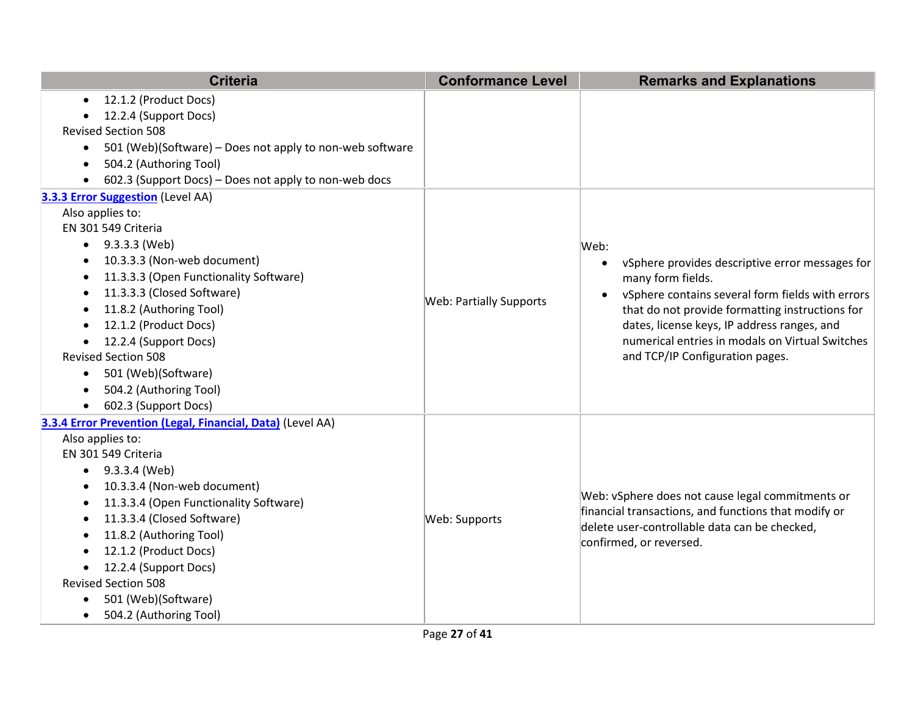|           | <b>Criteria</b>                                            | <b>Conformance Level</b>       | <b>Remarks and Explanations</b>                                                                                                   |
|-----------|------------------------------------------------------------|--------------------------------|-----------------------------------------------------------------------------------------------------------------------------------|
| $\bullet$ | 12.1.2 (Product Docs)                                      |                                |                                                                                                                                   |
|           | 12.2.4 (Support Docs)                                      |                                |                                                                                                                                   |
|           | <b>Revised Section 508</b>                                 |                                |                                                                                                                                   |
| $\bullet$ | 501 (Web)(Software) - Does not apply to non-web software   |                                |                                                                                                                                   |
| $\bullet$ | 504.2 (Authoring Tool)                                     |                                |                                                                                                                                   |
|           | 602.3 (Support Docs) - Does not apply to non-web docs      |                                |                                                                                                                                   |
|           | 3.3.3 Error Suggestion (Level AA)                          |                                |                                                                                                                                   |
|           | Also applies to:                                           |                                |                                                                                                                                   |
|           | EN 301 549 Criteria                                        |                                |                                                                                                                                   |
|           | $\bullet$ 9.3.3.3 (Web)                                    |                                | Web:                                                                                                                              |
| $\bullet$ | 10.3.3.3 (Non-web document)                                |                                | vSphere provides descriptive error messages for<br>$\bullet$                                                                      |
| $\bullet$ | 11.3.3.3 (Open Functionality Software)                     |                                | many form fields.                                                                                                                 |
| $\bullet$ | 11.3.3.3 (Closed Software)                                 | <b>Web: Partially Supports</b> | vSphere contains several form fields with errors                                                                                  |
| ٠         | 11.8.2 (Authoring Tool)                                    |                                | that do not provide formatting instructions for                                                                                   |
| $\bullet$ | 12.1.2 (Product Docs)                                      |                                | dates, license keys, IP address ranges, and<br>numerical entries in modals on Virtual Switches<br>and TCP/IP Configuration pages. |
| $\bullet$ | 12.2.4 (Support Docs)                                      |                                |                                                                                                                                   |
|           | <b>Revised Section 508</b>                                 |                                |                                                                                                                                   |
| $\bullet$ | 501 (Web)(Software)                                        |                                |                                                                                                                                   |
|           | 504.2 (Authoring Tool)                                     |                                |                                                                                                                                   |
| $\bullet$ | 602.3 (Support Docs)                                       |                                |                                                                                                                                   |
|           | 3.3.4 Error Prevention (Legal, Financial, Data) (Level AA) |                                |                                                                                                                                   |
|           | Also applies to:                                           |                                |                                                                                                                                   |
|           | EN 301 549 Criteria                                        |                                |                                                                                                                                   |
| $\bullet$ | 9.3.3.4 (Web)                                              |                                |                                                                                                                                   |
|           | 10.3.3.4 (Non-web document)                                |                                | Web: vSphere does not cause legal commitments or                                                                                  |
| ٠         | 11.3.3.4 (Open Functionality Software)                     |                                | financial transactions, and functions that modify or                                                                              |
| $\bullet$ | 11.3.3.4 (Closed Software)                                 | Web: Supports                  | delete user-controllable data can be checked,                                                                                     |
| $\bullet$ | 11.8.2 (Authoring Tool)                                    |                                | confirmed, or reversed.                                                                                                           |
|           | 12.1.2 (Product Docs)                                      |                                |                                                                                                                                   |
|           | 12.2.4 (Support Docs)                                      |                                |                                                                                                                                   |
|           | <b>Revised Section 508</b>                                 |                                |                                                                                                                                   |
| $\bullet$ | 501 (Web)(Software)                                        |                                |                                                                                                                                   |
| $\bullet$ | 504.2 (Authoring Tool)                                     |                                |                                                                                                                                   |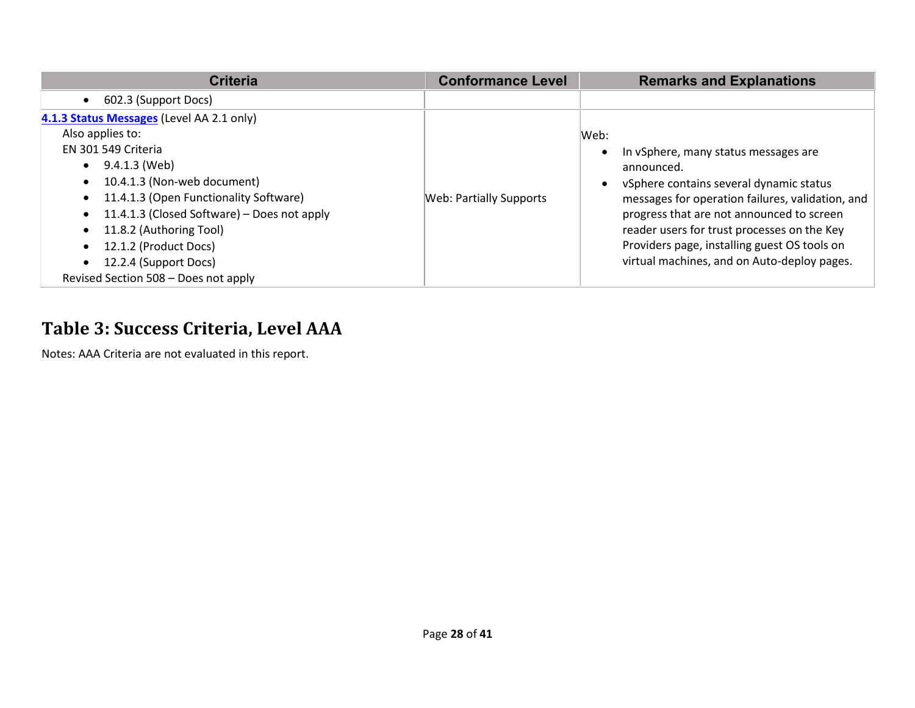| Criteria                                      | <b>Conformance Level</b>       | <b>Remarks and Explanations</b>                  |
|-----------------------------------------------|--------------------------------|--------------------------------------------------|
| 602.3 (Support Docs)<br>$\bullet$             |                                |                                                  |
| 4.1.3 Status Messages (Level AA 2.1 only)     |                                |                                                  |
| Also applies to:                              |                                | Web:                                             |
| EN 301 549 Criteria                           |                                | In vSphere, many status messages are             |
| $\bullet$ 9.4.1.3 (Web)                       |                                | announced.                                       |
| 10.4.1.3 (Non-web document)<br>$\bullet$      |                                | vSphere contains several dynamic status          |
| • 11.4.1.3 (Open Functionality Software)      | <b>Web: Partially Supports</b> | messages for operation failures, validation, and |
| • 11.4.1.3 (Closed Software) – Does not apply |                                | progress that are not announced to screen        |
| 11.8.2 (Authoring Tool)<br>$\bullet$          |                                | reader users for trust processes on the Key      |
| 12.1.2 (Product Docs)<br>$\bullet$            |                                | Providers page, installing guest OS tools on     |
| 12.2.4 (Support Docs)<br>$\bullet$            |                                | virtual machines, and on Auto-deploy pages.      |
| Revised Section 508 - Does not apply          |                                |                                                  |

## **Table 3: Success Criteria, Level AAA**

Notes: AAA Criteria are not evaluated in this report.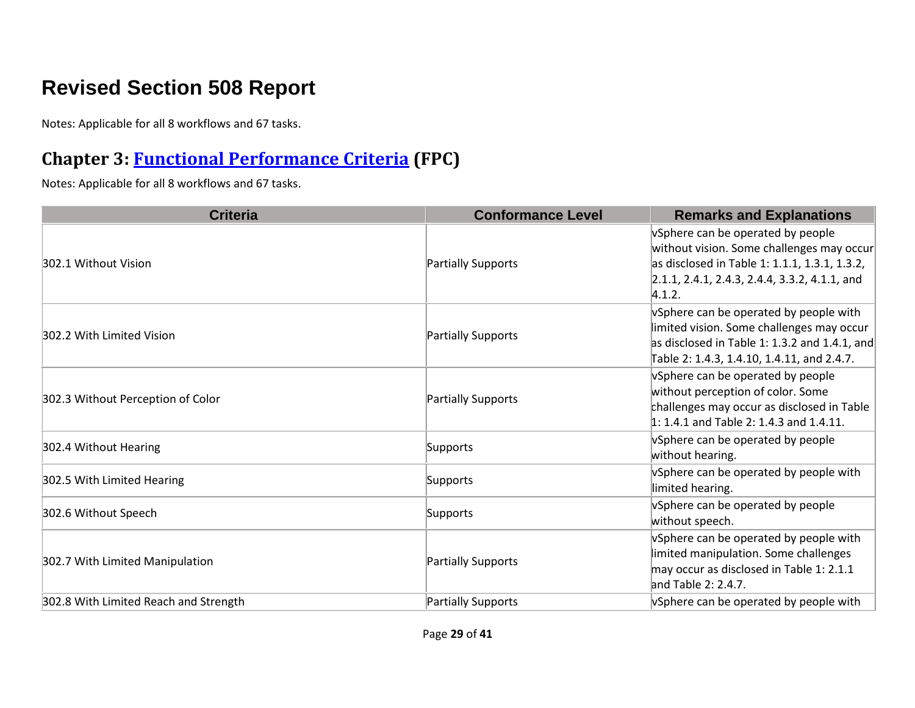## **Revised Section 508 Report**

Notes: Applicable for all 8 workflows and 67 tasks.

#### **Chapter 3: [Functional Performance](https://www.access-board.gov/guidelines-and-standards/communications-and-it/about-the-ict-refresh/final-rule/text-of-the-standards-and-guidelines#302-functional-performance-criteria) Criteria (FPC)**

| <b>Criteria</b>                       | <b>Conformance Level</b> | <b>Remarks and Explanations</b>                                                                                                                                                              |
|---------------------------------------|--------------------------|----------------------------------------------------------------------------------------------------------------------------------------------------------------------------------------------|
| 302.1 Without Vision                  | Partially Supports       | vSphere can be operated by people<br>without vision. Some challenges may occur<br>as disclosed in Table 1: 1.1.1, 1.3.1, 1.3.2,<br>$2.1.1, 2.4.1, 2.4.3, 2.4.4, 3.3.2, 4.1.1,$ and<br>4.1.2. |
| 302.2 With Limited Vision             | Partially Supports       | vSphere can be operated by people with<br>limited vision. Some challenges may occur<br>as disclosed in Table 1: 1.3.2 and 1.4.1, and<br>Table 2: 1.4.3, 1.4.10, 1.4.11, and 2.4.7.           |
| 302.3 Without Perception of Color     | Partially Supports       | vSphere can be operated by people<br>without perception of color. Some<br>challenges may occur as disclosed in Table<br>$1: 1.4.1$ and Table 2: 1.4.3 and 1.4.11.                            |
| 302.4 Without Hearing                 | Supports                 | vSphere can be operated by people<br>without hearing.                                                                                                                                        |
| 302.5 With Limited Hearing            | Supports                 | vSphere can be operated by people with<br>limited hearing.                                                                                                                                   |
| 302.6 Without Speech                  | Supports                 | vSphere can be operated by people<br>without speech.                                                                                                                                         |
| 302.7 With Limited Manipulation       | Partially Supports       | vSphere can be operated by people with<br>limited manipulation. Some challenges<br>may occur as disclosed in Table 1: 2.1.1<br>and Table 2: 2.4.7.                                           |
| 302.8 With Limited Reach and Strength | Partially Supports       | vSphere can be operated by people with                                                                                                                                                       |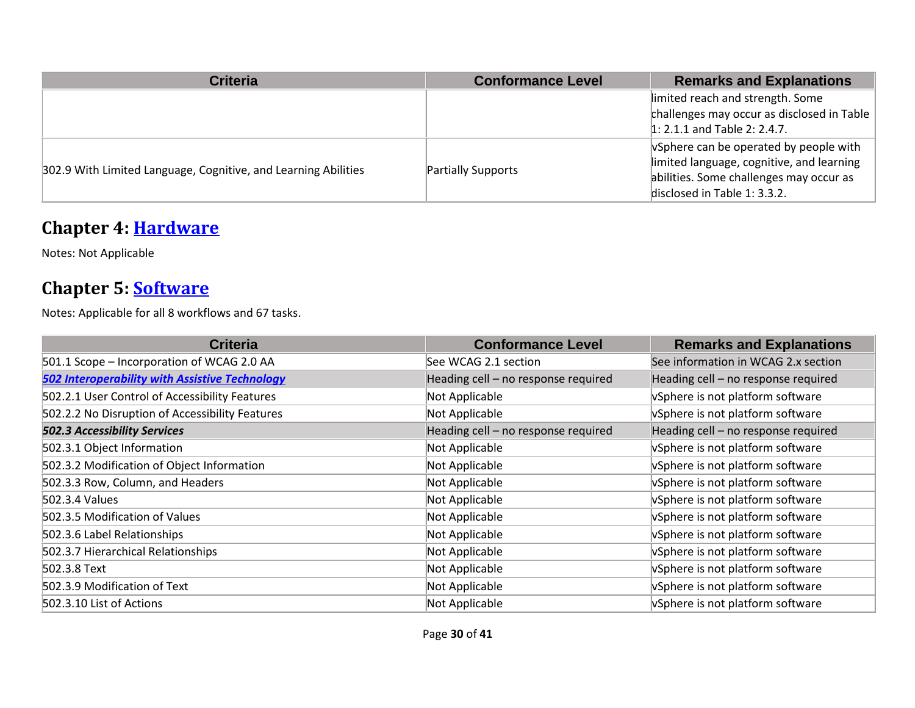| <b>Criteria</b>                                                | <b>Conformance Level</b>  | <b>Remarks and Explanations</b>                                                                                                                                |
|----------------------------------------------------------------|---------------------------|----------------------------------------------------------------------------------------------------------------------------------------------------------------|
|                                                                |                           | limited reach and strength. Some<br>challenges may occur as disclosed in Table<br>$1: 2.1.1$ and Table 2: 2.4.7.                                               |
| 302.9 With Limited Language, Cognitive, and Learning Abilities | <b>Partially Supports</b> | vSphere can be operated by people with<br>limited language, cognitive, and learning<br>abilities. Some challenges may occur as<br>disclosed in Table 1: 3.3.2. |

#### **Chapter 4: [Hardware](https://www.access-board.gov/guidelines-and-standards/communications-and-it/about-the-ict-refresh/final-rule/text-of-the-standards-and-guidelines#401-general)**

Notes: Not Applicable

#### **Chapter 5: [Software](https://www.access-board.gov/guidelines-and-standards/communications-and-it/about-the-ict-refresh/final-rule/text-of-the-standards-and-guidelines#501-general)**

| <b>Criteria</b>                                       | <b>Conformance Level</b>            | <b>Remarks and Explanations</b>     |
|-------------------------------------------------------|-------------------------------------|-------------------------------------|
| 501.1 Scope - Incorporation of WCAG 2.0 AA            | See WCAG 2.1 section                | See information in WCAG 2.x section |
| <b>502 Interoperability with Assistive Technology</b> | Heading cell - no response required | Heading cell - no response required |
| 502.2.1 User Control of Accessibility Features        | Not Applicable                      | vSphere is not platform software    |
| 502.2.2 No Disruption of Accessibility Features       | Not Applicable                      | vSphere is not platform software    |
| <b>502.3 Accessibility Services</b>                   | Heading cell - no response required | Heading cell - no response required |
| 502.3.1 Object Information                            | Not Applicable                      | vSphere is not platform software    |
| 502.3.2 Modification of Object Information            | Not Applicable                      | vSphere is not platform software    |
| 502.3.3 Row, Column, and Headers                      | Not Applicable                      | vSphere is not platform software    |
| 502.3.4 Values                                        | Not Applicable                      | vSphere is not platform software    |
| 502.3.5 Modification of Values                        | Not Applicable                      | vSphere is not platform software    |
| 502.3.6 Label Relationships                           | Not Applicable                      | vSphere is not platform software    |
| 502.3.7 Hierarchical Relationships                    | Not Applicable                      | vSphere is not platform software    |
| 502.3.8 Text                                          | Not Applicable                      | vSphere is not platform software    |
| 502.3.9 Modification of Text                          | Not Applicable                      | vSphere is not platform software    |
| 502.3.10 List of Actions                              | Not Applicable                      | vSphere is not platform software    |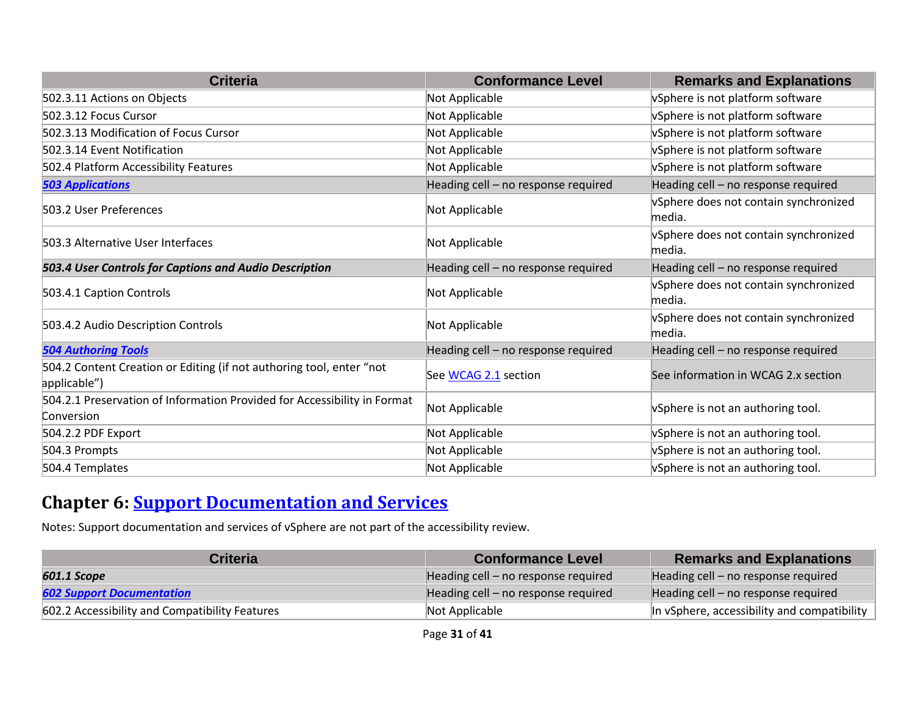| <b>Criteria</b>                                                                        | <b>Conformance Level</b>            | <b>Remarks and Explanations</b>                 |
|----------------------------------------------------------------------------------------|-------------------------------------|-------------------------------------------------|
| 502.3.11 Actions on Objects                                                            | Not Applicable                      | vSphere is not platform software                |
| 502.3.12 Focus Cursor                                                                  | Not Applicable                      | vSphere is not platform software                |
| 502.3.13 Modification of Focus Cursor                                                  | Not Applicable                      | vSphere is not platform software                |
| 502.3.14 Event Notification                                                            | Not Applicable                      | vSphere is not platform software                |
| 502.4 Platform Accessibility Features                                                  | Not Applicable                      | vSphere is not platform software                |
| <b>503 Applications</b>                                                                | Heading cell - no response required | Heading cell - no response required             |
| 503.2 User Preferences                                                                 | Not Applicable                      | vSphere does not contain synchronized<br>media. |
| 503.3 Alternative User Interfaces                                                      | Not Applicable                      | vSphere does not contain synchronized<br>media. |
| 503.4 User Controls for Captions and Audio Description                                 | Heading cell - no response required | Heading cell - no response required             |
| 503.4.1 Caption Controls                                                               | Not Applicable                      | vSphere does not contain synchronized<br>media. |
| 503.4.2 Audio Description Controls                                                     | Not Applicable                      | vSphere does not contain synchronized<br>media. |
| <b>504 Authoring Tools</b>                                                             | Heading cell - no response required | Heading cell - no response required             |
| 504.2 Content Creation or Editing (if not authoring tool, enter "not<br>applicable")   | See WCAG 2.1 section                | See information in WCAG 2.x section             |
| 504.2.1 Preservation of Information Provided for Accessibility in Format<br>Conversion | Not Applicable                      | vSphere is not an authoring tool.               |
| 504.2.2 PDF Export                                                                     | Not Applicable                      | vSphere is not an authoring tool.               |
| 504.3 Prompts                                                                          | Not Applicable                      | vSphere is not an authoring tool.               |
| 504.4 Templates                                                                        | Not Applicable                      | vSphere is not an authoring tool.               |

## **Chapter 6: [Support Documentation and Services](https://www.access-board.gov/guidelines-and-standards/communications-and-it/about-the-ict-refresh/final-rule/text-of-the-standards-and-guidelines#601-general)**

Notes: Support documentation and services of vSphere are not part of the accessibility review.

| Criteria                                       | <b>Conformance Level</b>            | <b>Remarks and Explanations</b>                         |
|------------------------------------------------|-------------------------------------|---------------------------------------------------------|
| 601.1 Scope                                    | Heading cell – no response required | Heading cell - no response required                     |
| <b>602 Support Documentation</b>               | Heading cell – no response required | Heading cell – no response required                     |
| 602.2 Accessibility and Compatibility Features | Not Applicable                      | In vSphere, accessibility and compatibility $\parallel$ |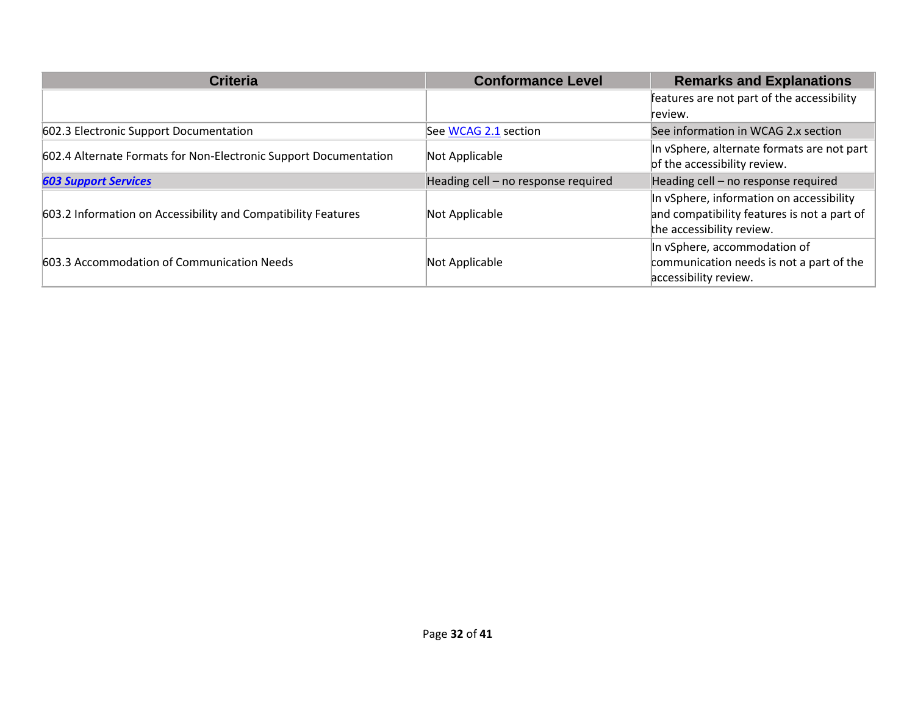| <b>Criteria</b>                                                  | <b>Conformance Level</b>            | <b>Remarks and Explanations</b>             |
|------------------------------------------------------------------|-------------------------------------|---------------------------------------------|
|                                                                  |                                     | features are not part of the accessibility  |
|                                                                  |                                     | review.                                     |
| 602.3 Electronic Support Documentation                           | See WCAG 2.1 section                | See information in WCAG 2.x section         |
| 602.4 Alternate Formats for Non-Electronic Support Documentation | Not Applicable                      | In vSphere, alternate formats are not part  |
|                                                                  |                                     | of the accessibility review.                |
| <b>603 Support Services</b>                                      | Heading cell - no response required | Heading cell - no response required         |
|                                                                  |                                     | In vSphere, information on accessibility    |
| 603.2 Information on Accessibility and Compatibility Features    | Not Applicable                      | and compatibility features is not a part of |
|                                                                  |                                     | the accessibility review.                   |
| 603.3 Accommodation of Communication Needs                       |                                     | In vSphere, accommodation of                |
|                                                                  | Not Applicable                      | communication needs is not a part of the    |
|                                                                  |                                     | accessibility review.                       |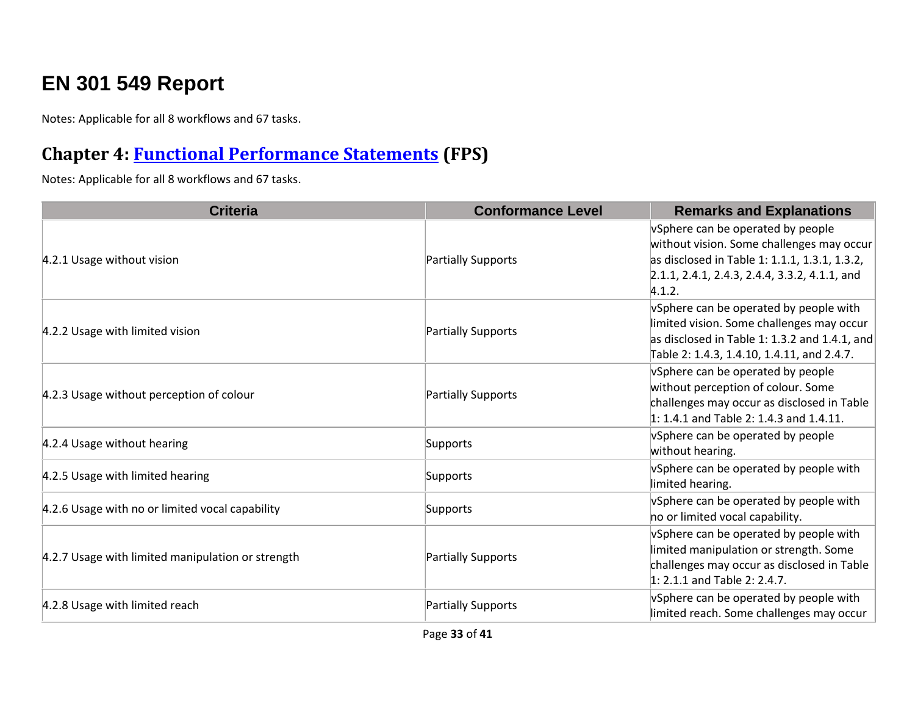## **EN 301 549 Report**

Notes: Applicable for all 8 workflows and 67 tasks.

#### **Chapter 4: [Functional Performance Statements](https://www.etsi.org/deliver/etsi_en/301500_301599/301549/03.01.01_60/en_301549v030101p.pdf#%5B%7B%22num%22%3A38%2C%22gen%22%3A0%7D%2C%7B%22name%22%3A%22XYZ%22%7D%2C54%2C747%2C0%5D) (FPS)**

| <b>Criteria</b>                                   | <b>Conformance Level</b> | <b>Remarks and Explanations</b>                                                                                                                                                            |
|---------------------------------------------------|--------------------------|--------------------------------------------------------------------------------------------------------------------------------------------------------------------------------------------|
| 4.2.1 Usage without vision                        | Partially Supports       | vSphere can be operated by people<br>without vision. Some challenges may occur<br>as disclosed in Table 1: 1.1.1, 1.3.1, 1.3.2,<br>2.1.1, 2.4.1, 2.4.3, 2.4.4, 3.3.2, 4.1.1, and<br>4.1.2. |
| 4.2.2 Usage with limited vision                   | Partially Supports       | vSphere can be operated by people with<br>limited vision. Some challenges may occur<br>as disclosed in Table 1: 1.3.2 and 1.4.1, and<br>Table 2: 1.4.3, 1.4.10, 1.4.11, and 2.4.7.         |
| 4.2.3 Usage without perception of colour          | Partially Supports       | VSphere can be operated by people<br>without perception of colour. Some<br>challenges may occur as disclosed in Table<br>1: 1.4.1 and Table 2: 1.4.3 and 1.4.11.                           |
| 4.2.4 Usage without hearing                       | Supports                 | vSphere can be operated by people<br>without hearing.                                                                                                                                      |
| 4.2.5 Usage with limited hearing                  | Supports                 | vSphere can be operated by people with<br>limited hearing.                                                                                                                                 |
| 4.2.6 Usage with no or limited vocal capability   | Supports                 | vSphere can be operated by people with<br>no or limited vocal capability.                                                                                                                  |
| 4.2.7 Usage with limited manipulation or strength | Partially Supports       | vSphere can be operated by people with<br>limited manipulation or strength. Some<br>challenges may occur as disclosed in Table<br>$1: 2.1.1$ and Table 2: 2.4.7.                           |
| 4.2.8 Usage with limited reach                    | Partially Supports       | vSphere can be operated by people with<br>limited reach. Some challenges may occur                                                                                                         |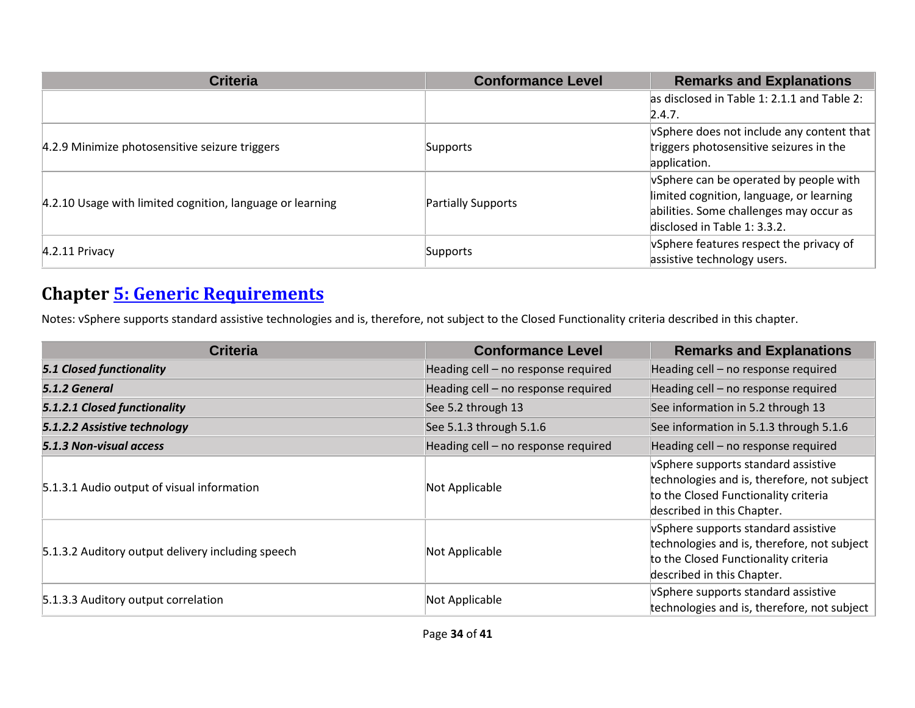| <b>Criteria</b>                                           | <b>Conformance Level</b> | <b>Remarks and Explanations</b>                                |
|-----------------------------------------------------------|--------------------------|----------------------------------------------------------------|
|                                                           |                          | as disclosed in Table 1: 2.1.1 and Table 2:                    |
|                                                           |                          | 2.4.7.                                                         |
|                                                           |                          | $\sqrt{v}$ Sphere does not include any content that $\sqrt{v}$ |
| 4.2.9 Minimize photosensitive seizure triggers            | Supports                 | triggers photosensitive seizures in the                        |
|                                                           |                          | application.                                                   |
|                                                           | Partially Supports       | vSphere can be operated by people with                         |
| 4.2.10 Usage with limited cognition, language or learning |                          | limited cognition, language, or learning                       |
|                                                           |                          | abilities. Some challenges may occur as                        |
|                                                           |                          | disclosed in Table 1: 3.3.2.                                   |
| $4.2.11$ Privacy                                          | Supports                 | vSphere features respect the privacy of                        |
|                                                           |                          | assistive technology users.                                    |

#### **Chapter [5: Generic Requirements](https://www.etsi.org/deliver/etsi_en/301500_301599/301549/03.01.01_60/en_301549v030101p.pdf#%5B%7B%22num%22%3A45%2C%22gen%22%3A0%7D%2C%7B%22name%22%3A%22XYZ%22%7D%2C54%2C747%2C0%5D)**

Notes: vSphere supports standard assistive technologies and is, therefore, not subject to the Closed Functionality criteria described in this chapter.

| <b>Criteria</b>                                   | <b>Conformance Level</b>            | <b>Remarks and Explanations</b>                                                                                                                          |
|---------------------------------------------------|-------------------------------------|----------------------------------------------------------------------------------------------------------------------------------------------------------|
| <b>5.1 Closed functionality</b>                   | Heading cell - no response required | Heading cell - no response required                                                                                                                      |
| 5.1.2 General                                     | Heading cell - no response required | Heading cell - no response required                                                                                                                      |
| 5.1.2.1 Closed functionality                      | See 5.2 through 13                  | See information in 5.2 through 13                                                                                                                        |
| 5.1.2.2 Assistive technology                      | See 5.1.3 through 5.1.6             | See information in 5.1.3 through 5.1.6                                                                                                                   |
| 5.1.3 Non-visual access                           | Heading cell - no response required | Heading cell - no response required                                                                                                                      |
| 5.1.3.1 Audio output of visual information        | Not Applicable                      | vSphere supports standard assistive<br>technologies and is, therefore, not subject<br>to the Closed Functionality criteria<br>described in this Chapter. |
| 5.1.3.2 Auditory output delivery including speech | Not Applicable                      | vSphere supports standard assistive<br>technologies and is, therefore, not subject<br>to the Closed Functionality criteria<br>described in this Chapter. |
| 5.1.3.3 Auditory output correlation               | Not Applicable                      | vSphere supports standard assistive<br>technologies and is, therefore, not subject                                                                       |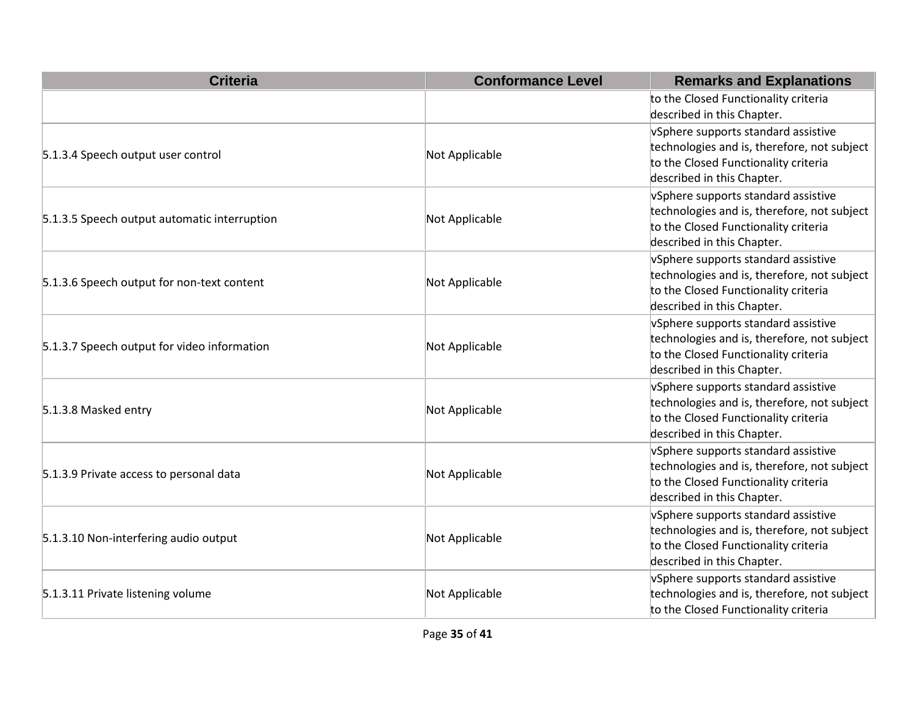| <b>Criteria</b>                              | <b>Conformance Level</b> | <b>Remarks and Explanations</b>                                                                                                                          |
|----------------------------------------------|--------------------------|----------------------------------------------------------------------------------------------------------------------------------------------------------|
|                                              |                          | to the Closed Functionality criteria<br>described in this Chapter.                                                                                       |
| 5.1.3.4 Speech output user control           | Not Applicable           | vSphere supports standard assistive<br>technologies and is, therefore, not subject<br>to the Closed Functionality criteria<br>described in this Chapter. |
| 5.1.3.5 Speech output automatic interruption | Not Applicable           | vSphere supports standard assistive<br>technologies and is, therefore, not subject<br>to the Closed Functionality criteria<br>described in this Chapter. |
| 5.1.3.6 Speech output for non-text content   | Not Applicable           | vSphere supports standard assistive<br>technologies and is, therefore, not subject<br>to the Closed Functionality criteria<br>described in this Chapter. |
| 5.1.3.7 Speech output for video information  | Not Applicable           | vSphere supports standard assistive<br>technologies and is, therefore, not subject<br>to the Closed Functionality criteria<br>described in this Chapter. |
| 5.1.3.8 Masked entry                         | Not Applicable           | vSphere supports standard assistive<br>technologies and is, therefore, not subject<br>to the Closed Functionality criteria<br>described in this Chapter. |
| 5.1.3.9 Private access to personal data      | Not Applicable           | vSphere supports standard assistive<br>technologies and is, therefore, not subject<br>to the Closed Functionality criteria<br>described in this Chapter. |
| 5.1.3.10 Non-interfering audio output        | Not Applicable           | vSphere supports standard assistive<br>technologies and is, therefore, not subject<br>to the Closed Functionality criteria<br>described in this Chapter. |
| 5.1.3.11 Private listening volume            | Not Applicable           | vSphere supports standard assistive<br>technologies and is, therefore, not subject<br>to the Closed Functionality criteria                               |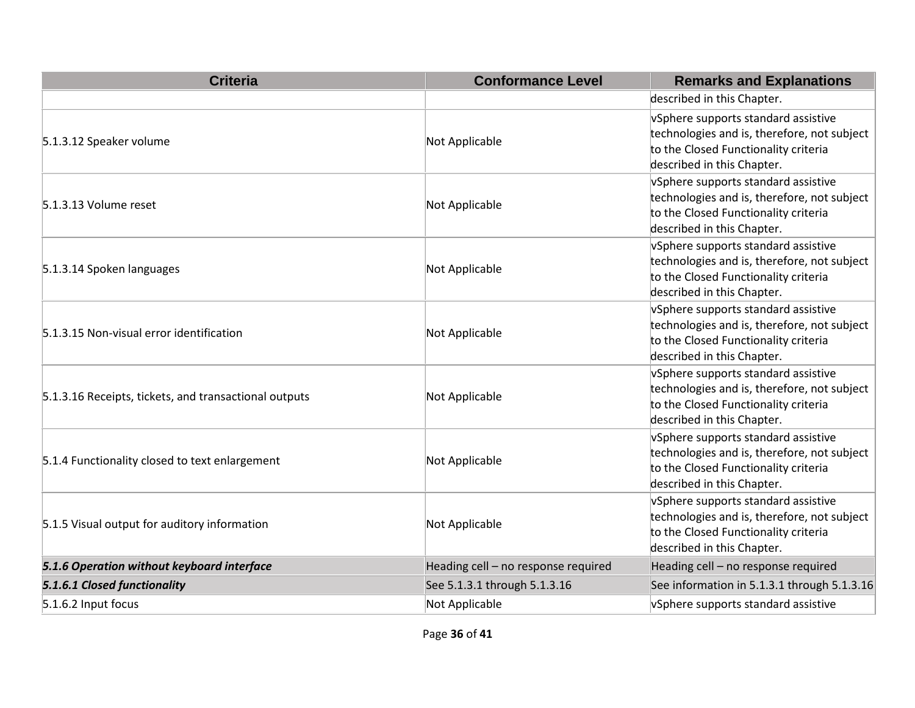| <b>Criteria</b>                                       | <b>Conformance Level</b>            | <b>Remarks and Explanations</b>                                                                                                                          |
|-------------------------------------------------------|-------------------------------------|----------------------------------------------------------------------------------------------------------------------------------------------------------|
|                                                       |                                     | described in this Chapter.                                                                                                                               |
| 5.1.3.12 Speaker volume                               | Not Applicable                      | vSphere supports standard assistive<br>technologies and is, therefore, not subject<br>to the Closed Functionality criteria<br>described in this Chapter. |
| 5.1.3.13 Volume reset                                 | Not Applicable                      | vSphere supports standard assistive<br>technologies and is, therefore, not subject<br>to the Closed Functionality criteria<br>described in this Chapter. |
| 5.1.3.14 Spoken languages                             | Not Applicable                      | vSphere supports standard assistive<br>technologies and is, therefore, not subject<br>to the Closed Functionality criteria<br>described in this Chapter. |
| 5.1.3.15 Non-visual error identification              | Not Applicable                      | vSphere supports standard assistive<br>technologies and is, therefore, not subject<br>to the Closed Functionality criteria<br>described in this Chapter. |
| 5.1.3.16 Receipts, tickets, and transactional outputs | Not Applicable                      | vSphere supports standard assistive<br>technologies and is, therefore, not subject<br>to the Closed Functionality criteria<br>described in this Chapter. |
| 5.1.4 Functionality closed to text enlargement        | Not Applicable                      | vSphere supports standard assistive<br>technologies and is, therefore, not subject<br>to the Closed Functionality criteria<br>described in this Chapter. |
| 5.1.5 Visual output for auditory information          | Not Applicable                      | vSphere supports standard assistive<br>technologies and is, therefore, not subject<br>to the Closed Functionality criteria<br>described in this Chapter. |
| 5.1.6 Operation without keyboard interface            | Heading cell - no response required | Heading cell - no response required                                                                                                                      |
| 5.1.6.1 Closed functionality                          | See 5.1.3.1 through 5.1.3.16        | See information in 5.1.3.1 through 5.1.3.16                                                                                                              |
| 5.1.6.2 Input focus                                   | Not Applicable                      | vSphere supports standard assistive                                                                                                                      |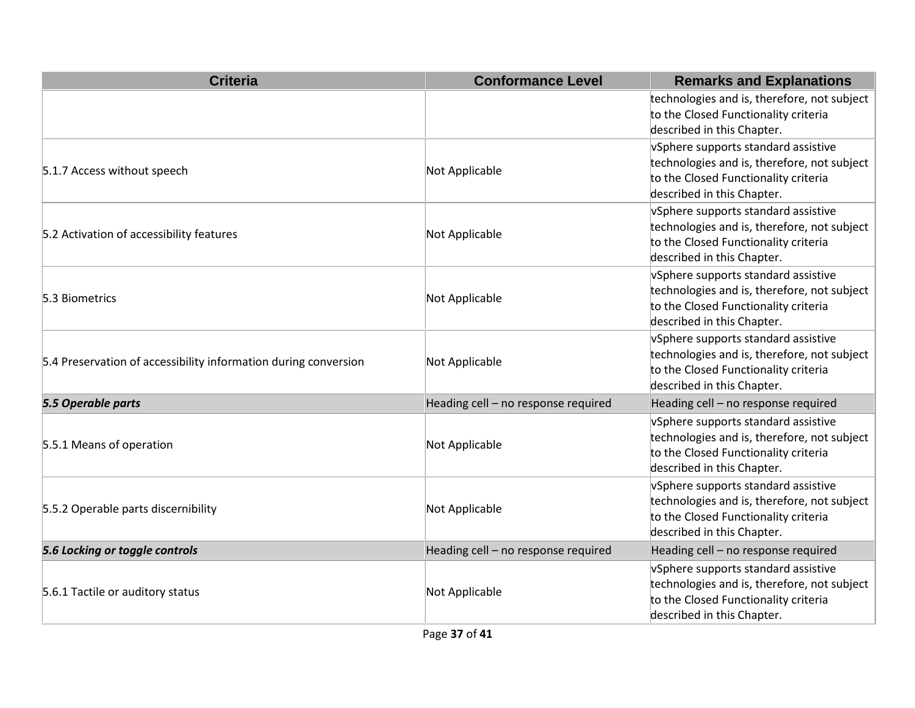| <b>Criteria</b>                                                 | <b>Conformance Level</b>            | <b>Remarks and Explanations</b>                                                                                                                          |
|-----------------------------------------------------------------|-------------------------------------|----------------------------------------------------------------------------------------------------------------------------------------------------------|
|                                                                 |                                     | technologies and is, therefore, not subject<br>to the Closed Functionality criteria<br>described in this Chapter.                                        |
| 5.1.7 Access without speech                                     | Not Applicable                      | vSphere supports standard assistive<br>technologies and is, therefore, not subject<br>to the Closed Functionality criteria<br>described in this Chapter. |
| 5.2 Activation of accessibility features                        | Not Applicable                      | vSphere supports standard assistive<br>technologies and is, therefore, not subject<br>to the Closed Functionality criteria<br>described in this Chapter. |
| 5.3 Biometrics                                                  | Not Applicable                      | vSphere supports standard assistive<br>technologies and is, therefore, not subject<br>to the Closed Functionality criteria<br>described in this Chapter. |
| 5.4 Preservation of accessibility information during conversion | Not Applicable                      | vSphere supports standard assistive<br>technologies and is, therefore, not subject<br>to the Closed Functionality criteria<br>described in this Chapter. |
| 5.5 Operable parts                                              | Heading cell - no response required | Heading cell - no response required                                                                                                                      |
| 5.5.1 Means of operation                                        | Not Applicable                      | vSphere supports standard assistive<br>technologies and is, therefore, not subject<br>to the Closed Functionality criteria<br>described in this Chapter. |
| 5.5.2 Operable parts discernibility                             | Not Applicable                      | vSphere supports standard assistive<br>technologies and is, therefore, not subject<br>to the Closed Functionality criteria<br>described in this Chapter. |
| 5.6 Locking or toggle controls                                  | Heading cell - no response required | Heading cell - no response required                                                                                                                      |
| 5.6.1 Tactile or auditory status                                | Not Applicable                      | vSphere supports standard assistive<br>technologies and is, therefore, not subject<br>to the Closed Functionality criteria<br>described in this Chapter. |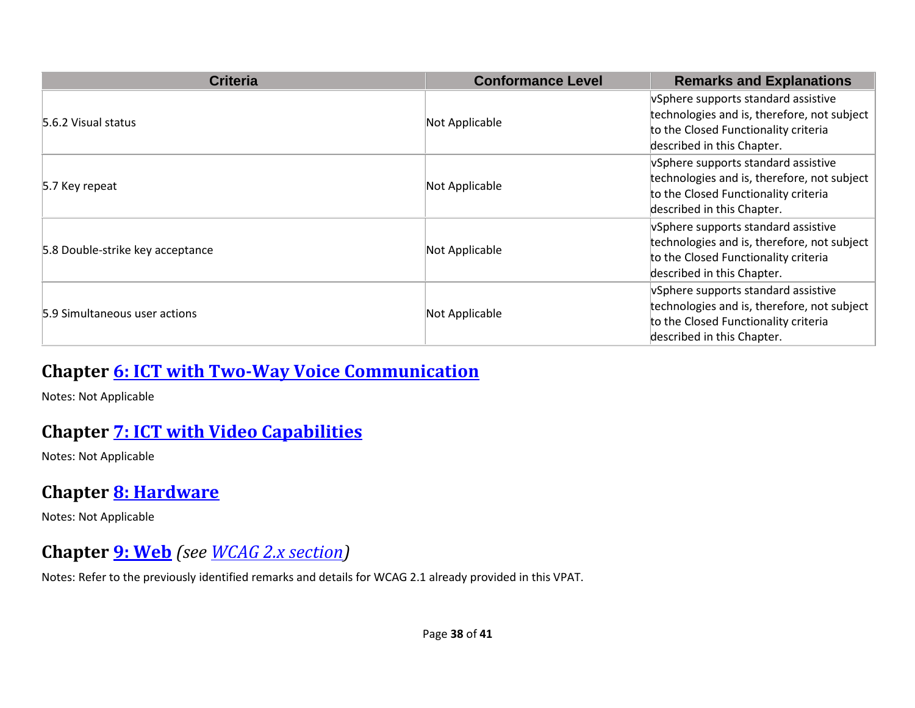| <b>Criteria</b>                  | <b>Conformance Level</b> | <b>Remarks and Explanations</b>                                                                                                                          |
|----------------------------------|--------------------------|----------------------------------------------------------------------------------------------------------------------------------------------------------|
| 5.6.2 Visual status              | Not Applicable           | vSphere supports standard assistive<br>technologies and is, therefore, not subject<br>to the Closed Functionality criteria<br>described in this Chapter. |
| 5.7 Key repeat                   | Not Applicable           | vSphere supports standard assistive<br>technologies and is, therefore, not subject<br>to the Closed Functionality criteria<br>described in this Chapter. |
| 5.8 Double-strike key acceptance | Not Applicable           | vSphere supports standard assistive<br>technologies and is, therefore, not subject<br>to the Closed Functionality criteria<br>described in this Chapter. |
| 5.9 Simultaneous user actions    | Not Applicable           | vSphere supports standard assistive<br>technologies and is, therefore, not subject<br>to the Closed Functionality criteria<br>described in this Chapter. |

#### **Chapter [6: ICT with Two-Way Voice Communication](https://www.etsi.org/deliver/etsi_en/301500_301599/301549/03.01.01_60/en_301549v030101p.pdf#%5B%7B%22num%22%3A60%2C%22gen%22%3A0%7D%2C%7B%22name%22%3A%22XYZ%22%7D%2C54%2C747%2C0%5D)**

Notes: Not Applicable

#### **Chapter [7: ICT with Video Capabilities](https://www.etsi.org/deliver/etsi_en/301500_301599/301549/03.01.01_60/en_301549v030101p.pdf#%5B%7B%22num%22%3A70%2C%22gen%22%3A0%7D%2C%7B%22name%22%3A%22XYZ%22%7D%2C54%2C747%2C0%5D)**

Notes: Not Applicable

#### **Chapter [8: Hardware](https://www.etsi.org/deliver/etsi_en/301500_301599/301549/03.01.01_60/en_301549v030101p.pdf#%5B%7B%22num%22%3A74%2C%22gen%22%3A0%7D%2C%7B%22name%22%3A%22XYZ%22%7D%2C54%2C747%2C0%5D)**

Notes: Not Applicable

#### **Chapter [9: Web](https://www.etsi.org/deliver/etsi_en/301500_301599/301549/03.01.01_60/en_301549v030101p.pdf#%5B%7B%22num%22%3A113%2C%22gen%22%3A0%7D%2C%7B%22name%22%3A%22XYZ%22%7D%2C54%2C747%2C0%5D)** *(see [WCAG 2.x](#page-4-0) section)*

Notes: Refer to the previously identified remarks and details for WCAG 2.1 already provided in this VPAT.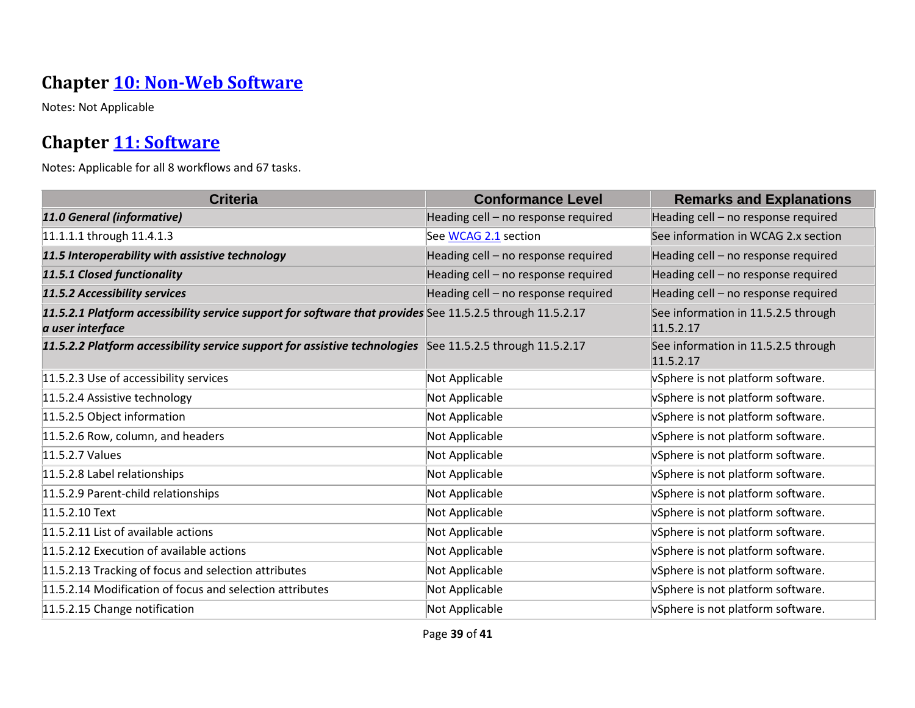#### **Chapter [10: Non-Web Software](https://www.etsi.org/deliver/etsi_en/301500_301599/301549/03.01.01_60/en_301549v030101p.pdf#%5B%7B%22num%22%3A127%2C%22gen%22%3A0%7D%2C%7B%22name%22%3A%22XYZ%22%7D%2C54%2C747%2C0%5D)**

Notes: Not Applicable

#### **Chapter [11: Software](https://www.etsi.org/deliver/etsi_en/301500_301599/301549/03.01.01_60/en_301549v030101p.pdf#%5B%7B%22num%22%3A149%2C%22gen%22%3A0%7D%2C%7B%22name%22%3A%22XYZ%22%7D%2C54%2C747%2C0%5D)**

| <b>Criteria</b>                                                                                                               | <b>Conformance Level</b>            | <b>Remarks and Explanations</b>                  |
|-------------------------------------------------------------------------------------------------------------------------------|-------------------------------------|--------------------------------------------------|
| 11.0 General (informative)                                                                                                    | Heading cell - no response required | Heading cell - no response required              |
| 11.1.1.1 through 11.4.1.3                                                                                                     | See WCAG 2.1 section                | See information in WCAG 2.x section              |
| 11.5 Interoperability with assistive technology                                                                               | Heading cell - no response required | Heading cell - no response required              |
| 11.5.1 Closed functionality                                                                                                   | Heading cell - no response required | Heading cell - no response required              |
| 11.5.2 Accessibility services                                                                                                 | Heading cell - no response required | Heading cell - no response required              |
| 11.5.2.1 Platform accessibility service support for software that provides See 11.5.2.5 through 11.5.2.17<br>a user interface |                                     | See information in 11.5.2.5 through<br>11.5.2.17 |
| 11.5.2.2 Platform accessibility service support for assistive technologies See 11.5.2.5 through 11.5.2.17                     |                                     | See information in 11.5.2.5 through<br>11.5.2.17 |
| 11.5.2.3 Use of accessibility services                                                                                        | Not Applicable                      | vSphere is not platform software.                |
| 11.5.2.4 Assistive technology                                                                                                 | Not Applicable                      | vSphere is not platform software.                |
| 11.5.2.5 Object information                                                                                                   | Not Applicable                      | vSphere is not platform software.                |
| 11.5.2.6 Row, column, and headers                                                                                             | Not Applicable                      | vSphere is not platform software.                |
| 11.5.2.7 Values                                                                                                               | Not Applicable                      | vSphere is not platform software.                |
| 11.5.2.8 Label relationships                                                                                                  | Not Applicable                      | vSphere is not platform software.                |
| 11.5.2.9 Parent-child relationships                                                                                           | Not Applicable                      | vSphere is not platform software.                |
| 11.5.2.10 Text                                                                                                                | Not Applicable                      | vSphere is not platform software.                |
| 11.5.2.11 List of available actions                                                                                           | Not Applicable                      | vSphere is not platform software.                |
| 11.5.2.12 Execution of available actions                                                                                      | Not Applicable                      | vSphere is not platform software.                |
| 11.5.2.13 Tracking of focus and selection attributes                                                                          | Not Applicable                      | vSphere is not platform software.                |
| 11.5.2.14 Modification of focus and selection attributes                                                                      | Not Applicable                      | vSphere is not platform software.                |
| 11.5.2.15 Change notification                                                                                                 | Not Applicable                      | vSphere is not platform software.                |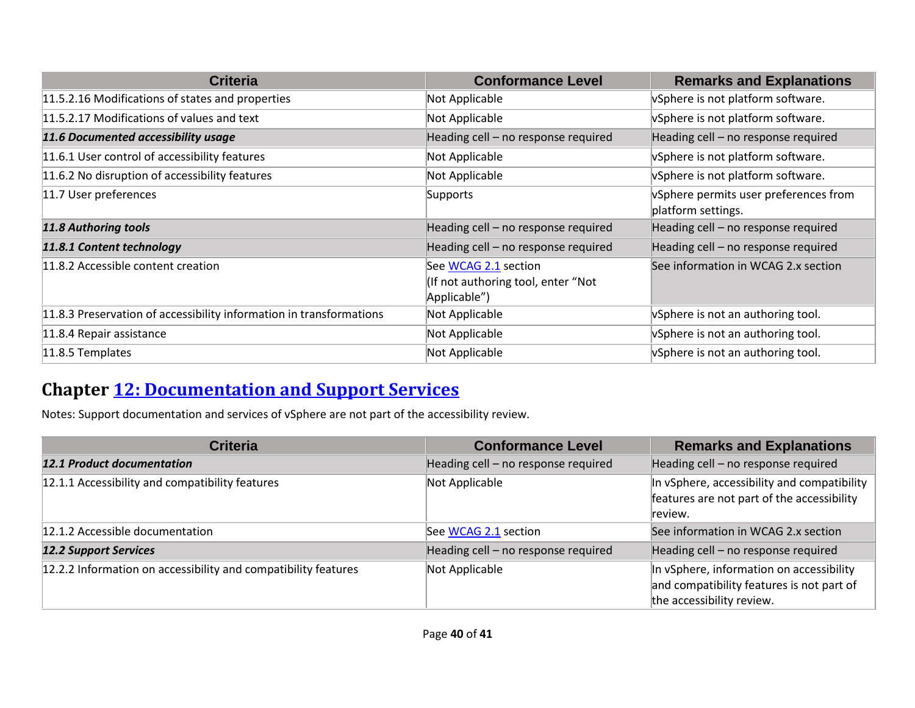| <b>Criteria</b>                                                     | <b>Conformance Level</b>                                                   | <b>Remarks and Explanations</b>                             |
|---------------------------------------------------------------------|----------------------------------------------------------------------------|-------------------------------------------------------------|
| 11.5.2.16 Modifications of states and properties                    | Not Applicable                                                             | vSphere is not platform software.                           |
| 11.5.2.17 Modifications of values and text                          | Not Applicable                                                             | VSphere is not platform software.                           |
| 11.6 Documented accessibility usage                                 | Heading cell - no response required                                        | Heading cell - no response required                         |
| 11.6.1 User control of accessibility features                       | Not Applicable                                                             | VSphere is not platform software.                           |
| 11.6.2 No disruption of accessibility features                      | Not Applicable                                                             | VSphere is not platform software.                           |
| 11.7 User preferences                                               | Supports                                                                   | VSphere permits user preferences from<br>platform settings. |
| 11.8 Authoring tools                                                | Heading cell - no response required                                        | Heading cell - no response required                         |
| 11.8.1 Content technology                                           | Heading cell - no response required                                        | Heading cell - no response required                         |
| 11.8.2 Accessible content creation                                  | See WCAG 2.1 section<br>(If not authoring tool, enter "Not<br>Applicable") | See information in WCAG 2.x section                         |
| 11.8.3 Preservation of accessibility information in transformations | Not Applicable                                                             | vSphere is not an authoring tool.                           |
| 11.8.4 Repair assistance                                            | Not Applicable                                                             | vSphere is not an authoring tool.                           |
| 11.8.5 Templates                                                    | Not Applicable                                                             | VSphere is not an authoring tool.                           |

#### **Chapter [12: Documentation and Support Services](https://www.etsi.org/deliver/etsi_en/301500_301599/301549/03.01.01_60/en_301549v030101p.pdf#%5B%7B%22num%22%3A187%2C%22gen%22%3A0%7D%2C%7B%22name%22%3A%22XYZ%22%7D%2C54%2C747%2C0%5D)**

Notes: Support documentation and services of vSphere are not part of the accessibility review.

| <b>Criteria</b>                                                | <b>Conformance Level</b>            | <b>Remarks and Explanations</b>                                                                                    |
|----------------------------------------------------------------|-------------------------------------|--------------------------------------------------------------------------------------------------------------------|
| 12.1 Product documentation                                     | Heading cell - no response required | Heading cell - no response required                                                                                |
| 12.1.1 Accessibility and compatibility features                | Not Applicable                      | In vSphere, accessibility and compatibility<br>features are not part of the accessibility<br>review.               |
| 12.1.2 Accessible documentation                                | See WCAG 2.1 section                | See information in WCAG 2.x section                                                                                |
| <b>12.2 Support Services</b>                                   | Heading cell - no response required | Heading cell - no response required                                                                                |
| 12.2.2 Information on accessibility and compatibility features | Not Applicable                      | In vSphere, information on accessibility<br>and compatibility features is not part of<br>the accessibility review. |